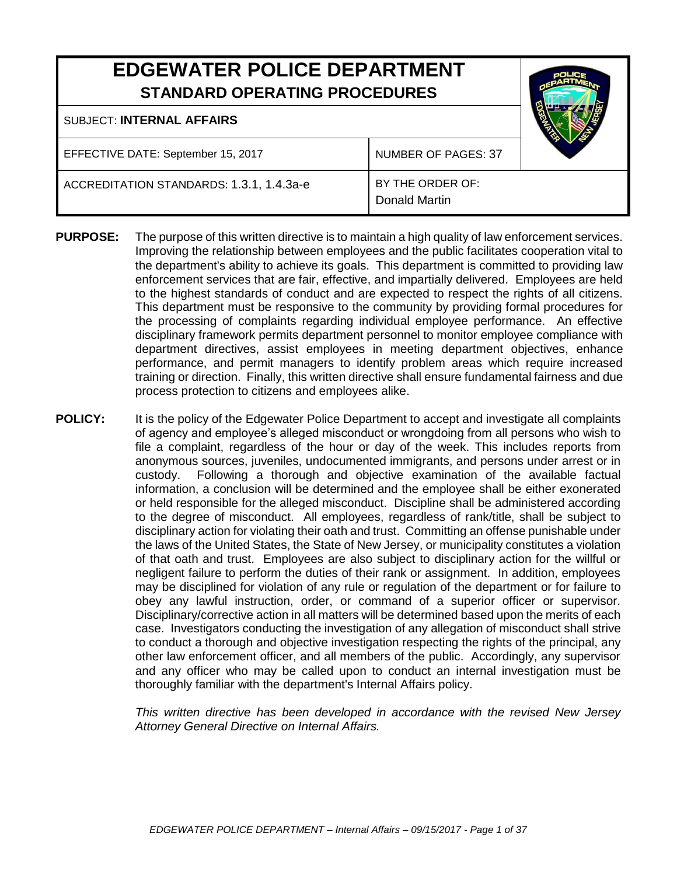# **EDGEWATER POLICE DEPARTMENT STANDARD OPERATING PROCEDURES**

#### SUBJECT: **INTERNAL AFFAIRS**

EFFECTIVE DATE: September 15, 2017 | NUMBER OF PAGES: 37

ACCREDITATION STANDARDS: 1.3.1, 1.4.3a-e **BY THE ORDER OF:** 

Donald Martin

- **PURPOSE:** The purpose of this written directive is to maintain a high quality of law enforcement services. Improving the relationship between employees and the public facilitates cooperation vital to the department's ability to achieve its goals. This department is committed to providing law enforcement services that are fair, effective, and impartially delivered. Employees are held to the highest standards of conduct and are expected to respect the rights of all citizens. This department must be responsive to the community by providing formal procedures for the processing of complaints regarding individual employee performance. An effective disciplinary framework permits department personnel to monitor employee compliance with department directives, assist employees in meeting department objectives, enhance performance, and permit managers to identify problem areas which require increased training or direction. Finally, this written directive shall ensure fundamental fairness and due process protection to citizens and employees alike.
- **POLICY:** It is the policy of the Edgewater Police Department to accept and investigate all complaints of agency and employee's alleged misconduct or wrongdoing from all persons who wish to file a complaint, regardless of the hour or day of the week. This includes reports from anonymous sources, juveniles, undocumented immigrants, and persons under arrest or in custody. Following a thorough and objective examination of the available factual information, a conclusion will be determined and the employee shall be either exonerated or held responsible for the alleged misconduct. Discipline shall be administered according to the degree of misconduct. All employees, regardless of rank/title, shall be subject to disciplinary action for violating their oath and trust. Committing an offense punishable under the laws of the United States, the State of New Jersey, or municipality constitutes a violation of that oath and trust. Employees are also subject to disciplinary action for the willful or negligent failure to perform the duties of their rank or assignment. In addition, employees may be disciplined for violation of any rule or regulation of the department or for failure to obey any lawful instruction, order, or command of a superior officer or supervisor. Disciplinary/corrective action in all matters will be determined based upon the merits of each case. Investigators conducting the investigation of any allegation of misconduct shall strive to conduct a thorough and objective investigation respecting the rights of the principal, any other law enforcement officer, and all members of the public. Accordingly, any supervisor and any officer who may be called upon to conduct an internal investigation must be thoroughly familiar with the department's Internal Affairs policy.

*This written directive has been developed in accordance with the revised New Jersey Attorney General Directive on Internal Affairs.*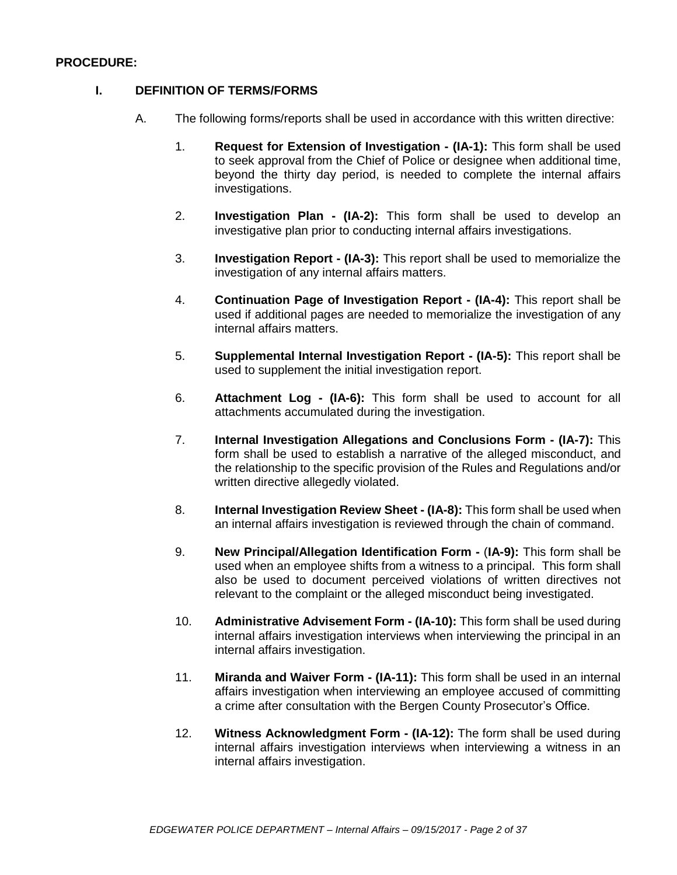#### **PROCEDURE:**

#### **I. DEFINITION OF TERMS/FORMS**

- A. The following forms/reports shall be used in accordance with this written directive:
	- 1. **Request for Extension of Investigation - (IA-1):** This form shall be used to seek approval from the Chief of Police or designee when additional time, beyond the thirty day period, is needed to complete the internal affairs investigations.
	- 2. **Investigation Plan - (IA-2):** This form shall be used to develop an investigative plan prior to conducting internal affairs investigations.
	- 3. **Investigation Report - (IA-3):** This report shall be used to memorialize the investigation of any internal affairs matters.
	- 4. **Continuation Page of Investigation Report - (IA-4):** This report shall be used if additional pages are needed to memorialize the investigation of any internal affairs matters.
	- 5. **Supplemental Internal Investigation Report - (IA-5):** This report shall be used to supplement the initial investigation report.
	- 6. **Attachment Log - (IA-6):** This form shall be used to account for all attachments accumulated during the investigation.
	- 7. **Internal Investigation Allegations and Conclusions Form - (IA-7):** This form shall be used to establish a narrative of the alleged misconduct, and the relationship to the specific provision of the Rules and Regulations and/or written directive allegedly violated.
	- 8. **Internal Investigation Review Sheet - (IA-8):** This form shall be used when an internal affairs investigation is reviewed through the chain of command.
	- 9. **New Principal/Allegation Identification Form -** (**IA-9):** This form shall be used when an employee shifts from a witness to a principal. This form shall also be used to document perceived violations of written directives not relevant to the complaint or the alleged misconduct being investigated.
	- 10. **Administrative Advisement Form - (IA-10):** This form shall be used during internal affairs investigation interviews when interviewing the principal in an internal affairs investigation.
	- 11. **Miranda and Waiver Form - (IA-11):** This form shall be used in an internal affairs investigation when interviewing an employee accused of committing a crime after consultation with the Bergen County Prosecutor's Office.
	- 12. **Witness Acknowledgment Form - (IA-12):** The form shall be used during internal affairs investigation interviews when interviewing a witness in an internal affairs investigation.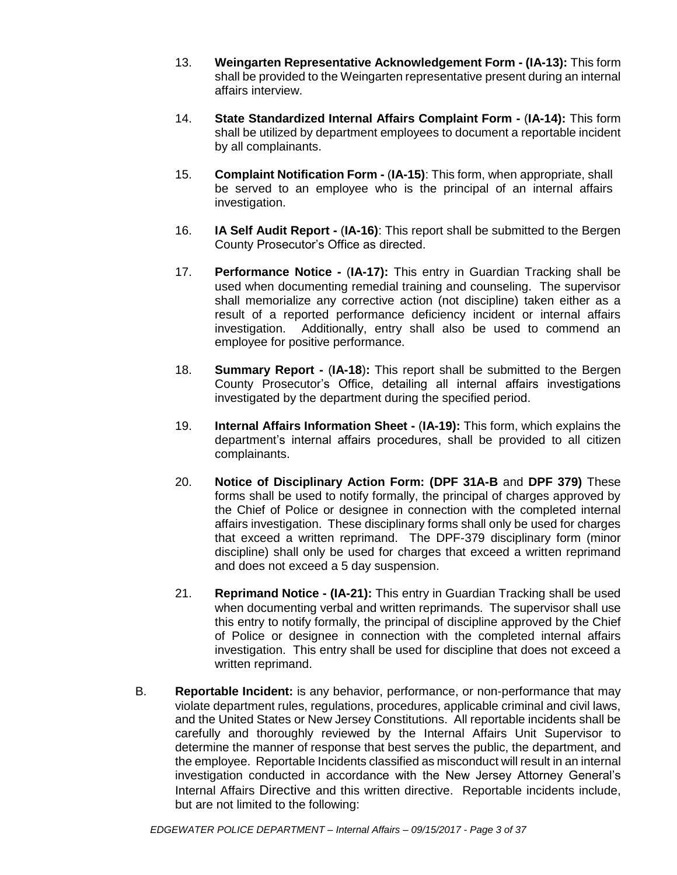- 13. **Weingarten Representative Acknowledgement Form - (IA-13):** This form shall be provided to the Weingarten representative present during an internal affairs interview.
- 14. **State Standardized Internal Affairs Complaint Form -** (**IA-14):** This form shall be utilized by department employees to document a reportable incident by all complainants.
- 15. **Complaint Notification Form -** (**IA-15)**: This form, when appropriate, shall be served to an employee who is the principal of an internal affairs investigation.
- 16. **IA Self Audit Report -** (**IA-16)**: This report shall be submitted to the Bergen County Prosecutor's Office as directed.
- 17. **Performance Notice -** (**IA-17):** This entry in Guardian Tracking shall be used when documenting remedial training and counseling. The supervisor shall memorialize any corrective action (not discipline) taken either as a result of a reported performance deficiency incident or internal affairs investigation. Additionally, entry shall also be used to commend an employee for positive performance.
- 18. **Summary Report -** (**IA-18**)**:** This report shall be submitted to the Bergen County Prosecutor's Office, detailing all internal affairs investigations investigated by the department during the specified period.
- 19. **Internal Affairs Information Sheet -** (**IA-19):** This form, which explains the department's internal affairs procedures, shall be provided to all citizen complainants.
- 20. **Notice of Disciplinary Action Form: (DPF 31A-B** and **DPF 379)** These forms shall be used to notify formally, the principal of charges approved by the Chief of Police or designee in connection with the completed internal affairs investigation. These disciplinary forms shall only be used for charges that exceed a written reprimand. The DPF-379 disciplinary form (minor discipline) shall only be used for charges that exceed a written reprimand and does not exceed a 5 day suspension.
- 21. **Reprimand Notice - (IA-21):** This entry in Guardian Tracking shall be used when documenting verbal and written reprimands. The supervisor shall use this entry to notify formally, the principal of discipline approved by the Chief of Police or designee in connection with the completed internal affairs investigation. This entry shall be used for discipline that does not exceed a written reprimand.
- B. **Reportable Incident:** is any behavior, performance, or non-performance that may violate department rules, regulations, procedures, applicable criminal and civil laws, and the United States or New Jersey Constitutions. All reportable incidents shall be carefully and thoroughly reviewed by the Internal Affairs Unit Supervisor to determine the manner of response that best serves the public, the department, and the employee. Reportable Incidents classified as misconduct will result in an internal investigation conducted in accordance with the New Jersey Attorney General's Internal Affairs Directive and this written directive. Reportable incidents include, but are not limited to the following: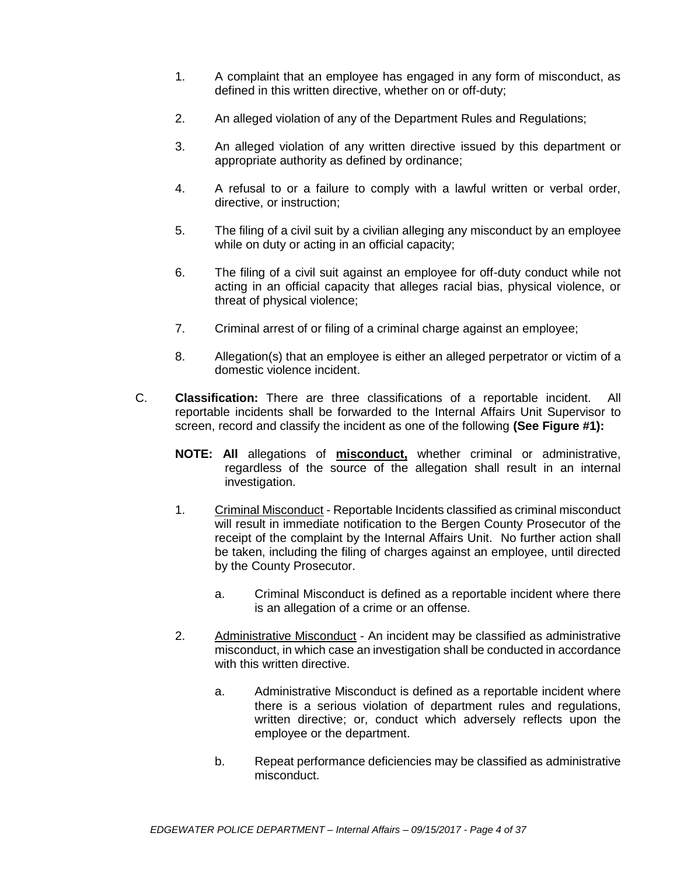- 1. A complaint that an employee has engaged in any form of misconduct, as defined in this written directive, whether on or off-duty;
- 2. An alleged violation of any of the Department Rules and Regulations;
- 3. An alleged violation of any written directive issued by this department or appropriate authority as defined by ordinance;
- 4. A refusal to or a failure to comply with a lawful written or verbal order, directive, or instruction;
- 5. The filing of a civil suit by a civilian alleging any misconduct by an employee while on duty or acting in an official capacity:
- 6. The filing of a civil suit against an employee for off-duty conduct while not acting in an official capacity that alleges racial bias, physical violence, or threat of physical violence;
- 7. Criminal arrest of or filing of a criminal charge against an employee;
- 8. Allegation(s) that an employee is either an alleged perpetrator or victim of a domestic violence incident.
- C. **Classification:** There are three classifications of a reportable incident. All reportable incidents shall be forwarded to the Internal Affairs Unit Supervisor to screen, record and classify the incident as one of the following **(See Figure #1):**
	- **NOTE: All** allegations of **misconduct,** whether criminal or administrative, regardless of the source of the allegation shall result in an internal investigation.
	- 1. Criminal Misconduct Reportable Incidents classified as criminal misconduct will result in immediate notification to the Bergen County Prosecutor of the receipt of the complaint by the Internal Affairs Unit. No further action shall be taken, including the filing of charges against an employee, until directed by the County Prosecutor.
		- a. Criminal Misconduct is defined as a reportable incident where there is an allegation of a crime or an offense.
	- 2. Administrative Misconduct An incident may be classified as administrative misconduct, in which case an investigation shall be conducted in accordance with this written directive.
		- a. Administrative Misconduct is defined as a reportable incident where there is a serious violation of department rules and regulations, written directive; or, conduct which adversely reflects upon the employee or the department.
		- b. Repeat performance deficiencies may be classified as administrative misconduct.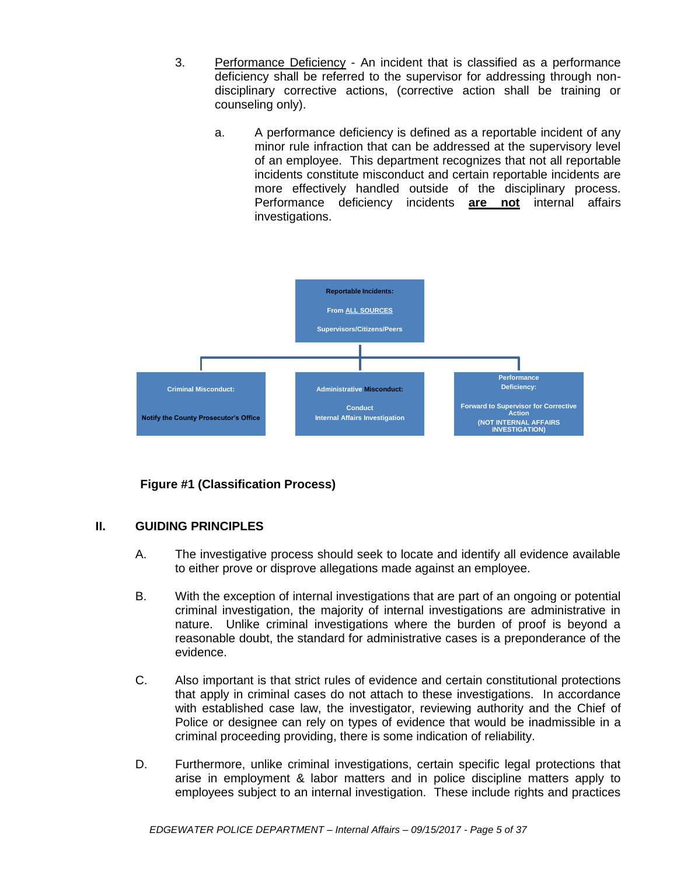- 3. Performance Deficiency An incident that is classified as a performance deficiency shall be referred to the supervisor for addressing through nondisciplinary corrective actions, (corrective action shall be training or counseling only).
	- a. A performance deficiency is defined as a reportable incident of any minor rule infraction that can be addressed at the supervisory level of an employee. This department recognizes that not all reportable incidents constitute misconduct and certain reportable incidents are more effectively handled outside of the disciplinary process. Performance deficiency incidents **are not** internal affairs investigations.



## **Figure #1 (Classification Process)**

#### **II. GUIDING PRINCIPLES**

- A. The investigative process should seek to locate and identify all evidence available to either prove or disprove allegations made against an employee.
- B. With the exception of internal investigations that are part of an ongoing or potential criminal investigation, the majority of internal investigations are administrative in nature. Unlike criminal investigations where the burden of proof is beyond a reasonable doubt, the standard for administrative cases is a preponderance of the evidence.
- C. Also important is that strict rules of evidence and certain constitutional protections that apply in criminal cases do not attach to these investigations. In accordance with established case law, the investigator, reviewing authority and the Chief of Police or designee can rely on types of evidence that would be inadmissible in a criminal proceeding providing, there is some indication of reliability.
- D. Furthermore, unlike criminal investigations, certain specific legal protections that arise in employment & labor matters and in police discipline matters apply to employees subject to an internal investigation. These include rights and practices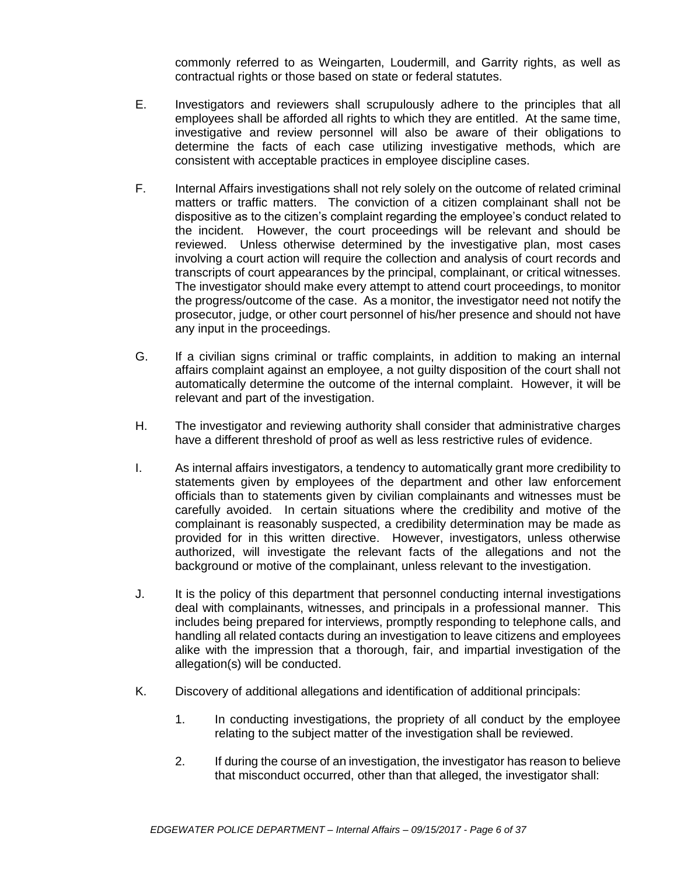commonly referred to as Weingarten, Loudermill, and Garrity rights, as well as contractual rights or those based on state or federal statutes.

- E. Investigators and reviewers shall scrupulously adhere to the principles that all employees shall be afforded all rights to which they are entitled. At the same time, investigative and review personnel will also be aware of their obligations to determine the facts of each case utilizing investigative methods, which are consistent with acceptable practices in employee discipline cases.
- F. Internal Affairs investigations shall not rely solely on the outcome of related criminal matters or traffic matters. The conviction of a citizen complainant shall not be dispositive as to the citizen's complaint regarding the employee's conduct related to the incident. However, the court proceedings will be relevant and should be reviewed. Unless otherwise determined by the investigative plan, most cases involving a court action will require the collection and analysis of court records and transcripts of court appearances by the principal, complainant, or critical witnesses. The investigator should make every attempt to attend court proceedings, to monitor the progress/outcome of the case. As a monitor, the investigator need not notify the prosecutor, judge, or other court personnel of his/her presence and should not have any input in the proceedings.
- G. If a civilian signs criminal or traffic complaints, in addition to making an internal affairs complaint against an employee, a not guilty disposition of the court shall not automatically determine the outcome of the internal complaint. However, it will be relevant and part of the investigation.
- H. The investigator and reviewing authority shall consider that administrative charges have a different threshold of proof as well as less restrictive rules of evidence.
- I. As internal affairs investigators, a tendency to automatically grant more credibility to statements given by employees of the department and other law enforcement officials than to statements given by civilian complainants and witnesses must be carefully avoided. In certain situations where the credibility and motive of the complainant is reasonably suspected, a credibility determination may be made as provided for in this written directive. However, investigators, unless otherwise authorized, will investigate the relevant facts of the allegations and not the background or motive of the complainant, unless relevant to the investigation.
- J. It is the policy of this department that personnel conducting internal investigations deal with complainants, witnesses, and principals in a professional manner. This includes being prepared for interviews, promptly responding to telephone calls, and handling all related contacts during an investigation to leave citizens and employees alike with the impression that a thorough, fair, and impartial investigation of the allegation(s) will be conducted.
- K. Discovery of additional allegations and identification of additional principals:
	- 1. In conducting investigations, the propriety of all conduct by the employee relating to the subject matter of the investigation shall be reviewed.
	- 2. If during the course of an investigation, the investigator has reason to believe that misconduct occurred, other than that alleged, the investigator shall: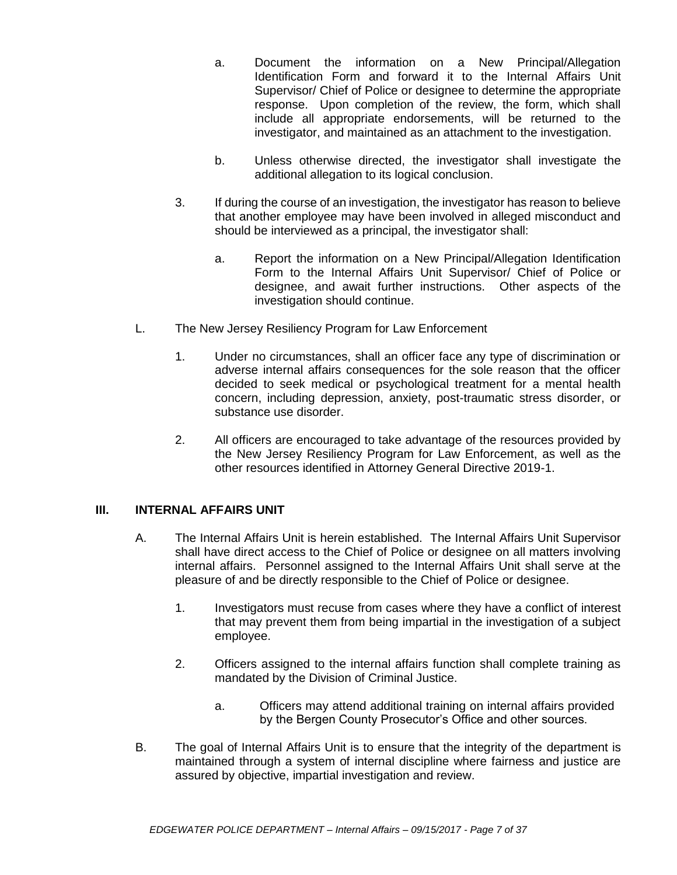- a. Document the information on a New Principal/Allegation Identification Form and forward it to the Internal Affairs Unit Supervisor/ Chief of Police or designee to determine the appropriate response. Upon completion of the review, the form, which shall include all appropriate endorsements, will be returned to the investigator, and maintained as an attachment to the investigation.
- b. Unless otherwise directed, the investigator shall investigate the additional allegation to its logical conclusion.
- 3. If during the course of an investigation, the investigator has reason to believe that another employee may have been involved in alleged misconduct and should be interviewed as a principal, the investigator shall:
	- a. Report the information on a New Principal/Allegation Identification Form to the Internal Affairs Unit Supervisor/ Chief of Police or designee, and await further instructions. Other aspects of the investigation should continue.
- L. The New Jersey Resiliency Program for Law Enforcement
	- 1. Under no circumstances, shall an officer face any type of discrimination or adverse internal affairs consequences for the sole reason that the officer decided to seek medical or psychological treatment for a mental health concern, including depression, anxiety, post-traumatic stress disorder, or substance use disorder.
	- 2. All officers are encouraged to take advantage of the resources provided by the New Jersey Resiliency Program for Law Enforcement, as well as the other resources identified in Attorney General Directive 2019-1.

## **III. INTERNAL AFFAIRS UNIT**

- A. The Internal Affairs Unit is herein established. The Internal Affairs Unit Supervisor shall have direct access to the Chief of Police or designee on all matters involving internal affairs. Personnel assigned to the Internal Affairs Unit shall serve at the pleasure of and be directly responsible to the Chief of Police or designee.
	- 1. Investigators must recuse from cases where they have a conflict of interest that may prevent them from being impartial in the investigation of a subject employee.
	- 2. Officers assigned to the internal affairs function shall complete training as mandated by the Division of Criminal Justice.
		- a. Officers may attend additional training on internal affairs provided by the Bergen County Prosecutor's Office and other sources.
- B. The goal of Internal Affairs Unit is to ensure that the integrity of the department is maintained through a system of internal discipline where fairness and justice are assured by objective, impartial investigation and review.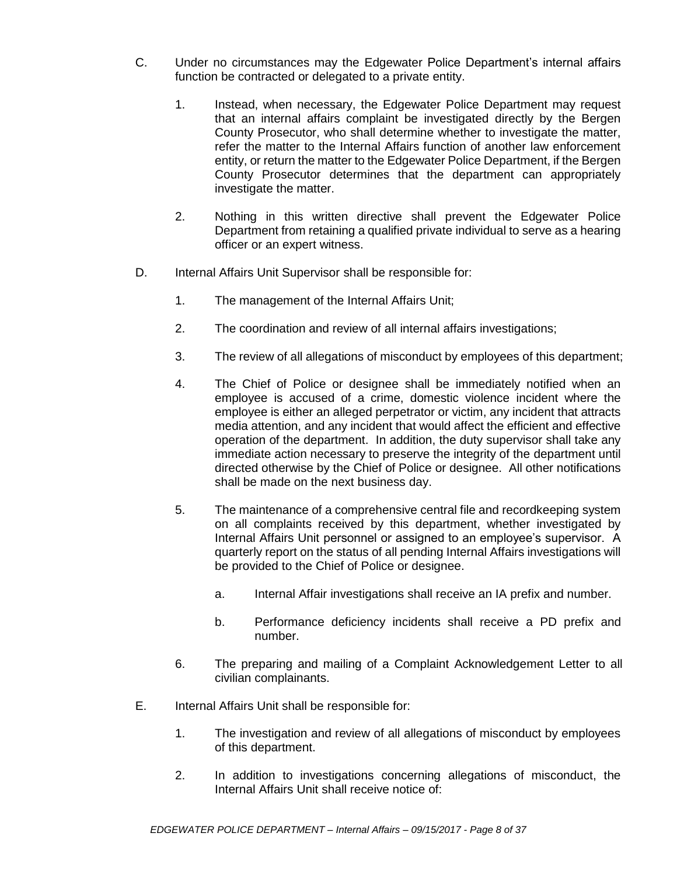- C. Under no circumstances may the Edgewater Police Department's internal affairs function be contracted or delegated to a private entity.
	- 1. Instead, when necessary, the Edgewater Police Department may request that an internal affairs complaint be investigated directly by the Bergen County Prosecutor, who shall determine whether to investigate the matter, refer the matter to the Internal Affairs function of another law enforcement entity, or return the matter to the Edgewater Police Department, if the Bergen County Prosecutor determines that the department can appropriately investigate the matter.
	- 2. Nothing in this written directive shall prevent the Edgewater Police Department from retaining a qualified private individual to serve as a hearing officer or an expert witness.
- D. Internal Affairs Unit Supervisor shall be responsible for:
	- 1. The management of the Internal Affairs Unit;
	- 2. The coordination and review of all internal affairs investigations;
	- 3. The review of all allegations of misconduct by employees of this department;
	- 4. The Chief of Police or designee shall be immediately notified when an employee is accused of a crime, domestic violence incident where the employee is either an alleged perpetrator or victim, any incident that attracts media attention, and any incident that would affect the efficient and effective operation of the department. In addition, the duty supervisor shall take any immediate action necessary to preserve the integrity of the department until directed otherwise by the Chief of Police or designee. All other notifications shall be made on the next business day.
	- 5. The maintenance of a comprehensive central file and recordkeeping system on all complaints received by this department, whether investigated by Internal Affairs Unit personnel or assigned to an employee's supervisor. A quarterly report on the status of all pending Internal Affairs investigations will be provided to the Chief of Police or designee.
		- a. Internal Affair investigations shall receive an IA prefix and number.
		- b. Performance deficiency incidents shall receive a PD prefix and number.
	- 6. The preparing and mailing of a Complaint Acknowledgement Letter to all civilian complainants.
- E. Internal Affairs Unit shall be responsible for:
	- 1. The investigation and review of all allegations of misconduct by employees of this department.
	- 2. In addition to investigations concerning allegations of misconduct, the Internal Affairs Unit shall receive notice of: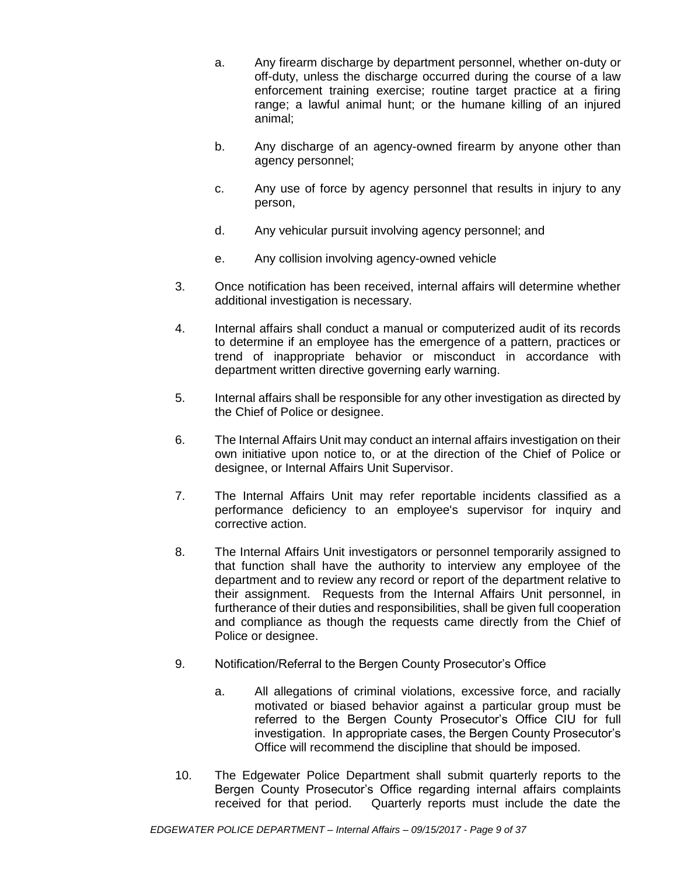- a. Any firearm discharge by department personnel, whether on-duty or off-duty, unless the discharge occurred during the course of a law enforcement training exercise; routine target practice at a firing range; a lawful animal hunt; or the humane killing of an injured animal;
- b. Any discharge of an agency-owned firearm by anyone other than agency personnel;
- c. Any use of force by agency personnel that results in injury to any person,
- d. Any vehicular pursuit involving agency personnel; and
- e. Any collision involving agency-owned vehicle
- 3. Once notification has been received, internal affairs will determine whether additional investigation is necessary.
- 4. Internal affairs shall conduct a manual or computerized audit of its records to determine if an employee has the emergence of a pattern, practices or trend of inappropriate behavior or misconduct in accordance with department written directive governing early warning.
- 5. Internal affairs shall be responsible for any other investigation as directed by the Chief of Police or designee.
- 6. The Internal Affairs Unit may conduct an internal affairs investigation on their own initiative upon notice to, or at the direction of the Chief of Police or designee, or Internal Affairs Unit Supervisor.
- 7. The Internal Affairs Unit may refer reportable incidents classified as a performance deficiency to an employee's supervisor for inquiry and corrective action.
- 8. The Internal Affairs Unit investigators or personnel temporarily assigned to that function shall have the authority to interview any employee of the department and to review any record or report of the department relative to their assignment. Requests from the Internal Affairs Unit personnel, in furtherance of their duties and responsibilities, shall be given full cooperation and compliance as though the requests came directly from the Chief of Police or designee.
- 9. Notification/Referral to the Bergen County Prosecutor's Office
	- a. All allegations of criminal violations, excessive force, and racially motivated or biased behavior against a particular group must be referred to the Bergen County Prosecutor's Office CIU for full investigation. In appropriate cases, the Bergen County Prosecutor's Office will recommend the discipline that should be imposed.
- 10. The Edgewater Police Department shall submit quarterly reports to the Bergen County Prosecutor's Office regarding internal affairs complaints received for that period. Quarterly reports must include the date the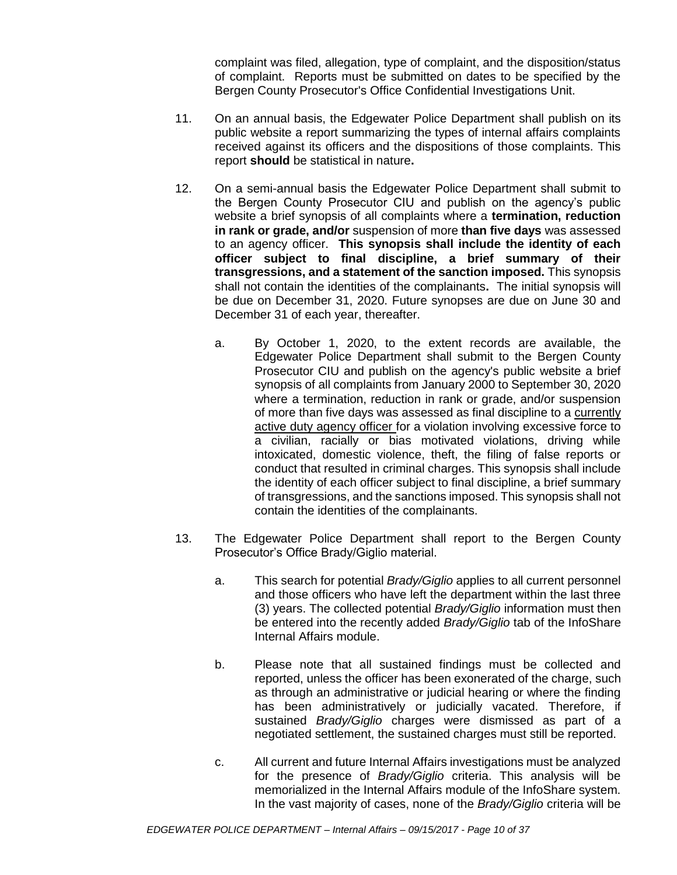complaint was filed, allegation, type of complaint, and the disposition/status of complaint. Reports must be submitted on dates to be specified by the Bergen County Prosecutor's Office Confidential Investigations Unit.

- 11. On an annual basis, the Edgewater Police Department shall publish on its public website a report summarizing the types of internal affairs complaints received against its officers and the dispositions of those complaints. This report **should** be statistical in nature**.**
- 12. On a semi-annual basis the Edgewater Police Department shall submit to the Bergen County Prosecutor CIU and publish on the agency's public website a brief synopsis of all complaints where a **termination, reduction in rank or grade, and/or** suspension of more **than five days** was assessed to an agency officer. **This synopsis shall include the identity of each officer subject to final discipline, a brief summary of their transgressions, and a statement of the sanction imposed.** This synopsis shall not contain the identities of the complainants**.** The initial synopsis will be due on December 31, 2020. Future synopses are due on June 30 and December 31 of each year, thereafter.
	- a. By October 1, 2020, to the extent records are available, the Edgewater Police Department shall submit to the Bergen County Prosecutor CIU and publish on the agency's public website a brief synopsis of all complaints from January 2000 to September 30, 2020 where a termination, reduction in rank or grade, and/or suspension of more than five days was assessed as final discipline to a currently active duty agency officer for a violation involving excessive force to a civilian, racially or bias motivated violations, driving while intoxicated, domestic violence, theft, the filing of false reports or conduct that resulted in criminal charges. This synopsis shall include the identity of each officer subject to final discipline, a brief summary of transgressions, and the sanctions imposed. This synopsis shall not contain the identities of the complainants.
- 13. The Edgewater Police Department shall report to the Bergen County Prosecutor's Office Brady/Giglio material.
	- a. This search for potential *Brady/Giglio* applies to all current personnel and those officers who have left the department within the last three (3) years. The collected potential *Brady/Giglio* information must then be entered into the recently added *Brady/Giglio* tab of the InfoShare Internal Affairs module.
	- b. Please note that all sustained findings must be collected and reported, unless the officer has been exonerated of the charge, such as through an administrative or judicial hearing or where the finding has been administratively or judicially vacated. Therefore, if sustained *Brady/Giglio* charges were dismissed as part of a negotiated settlement, the sustained charges must still be reported.
	- c. All current and future Internal Affairs investigations must be analyzed for the presence of *Brady/Giglio* criteria. This analysis will be memorialized in the Internal Affairs module of the InfoShare system. In the vast majority of cases, none of the *Brady/Giglio* criteria will be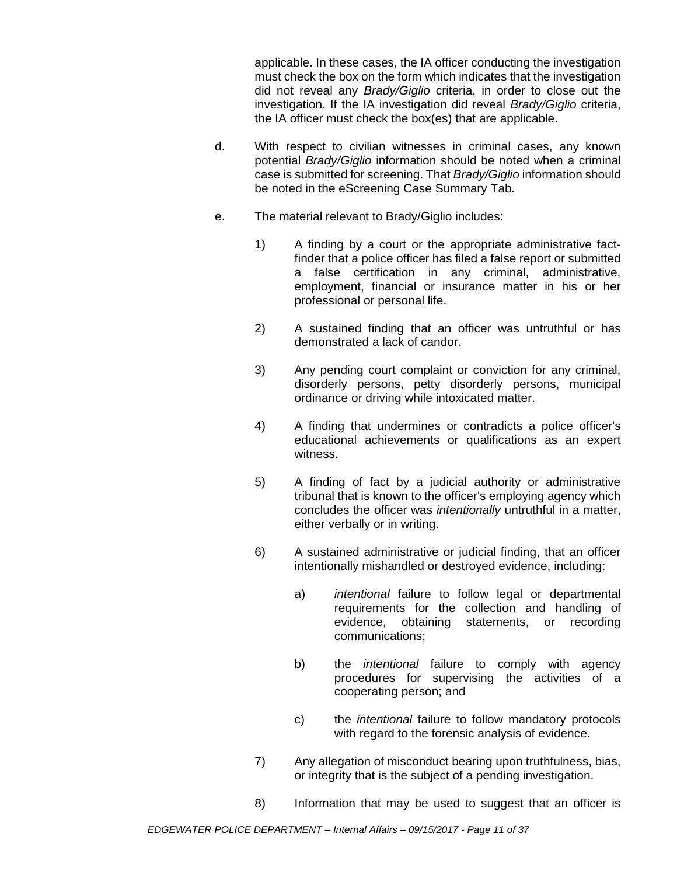applicable. In these cases, the IA officer conducting the investigation must check the box on the form which indicates that the investigation did not reveal any *Brady/Giglio* criteria, in order to close out the investigation. If the IA investigation did reveal *Brady/Giglio* criteria, the IA officer must check the box(es) that are applicable.

- d. With respect to civilian witnesses in criminal cases, any known potential *Brady/Giglio* information should be noted when a criminal case is submitted for screening. That *Brady/Giglio* information should be noted in the eScreening Case Summary Tab.
- e. The material relevant to Brady/Giglio includes:
	- 1) A finding by a court or the appropriate administrative factfinder that a police officer has filed a false report or submitted a false certification in any criminal, administrative, employment, financial or insurance matter in his or her professional or personal life.
	- 2) A sustained finding that an officer was untruthful or has demonstrated a lack of candor.
	- 3) Any pending court complaint or conviction for any criminal, disorderly persons, petty disorderly persons, municipal ordinance or driving while intoxicated matter.
	- 4) A finding that undermines or contradicts a police officer's educational achievements or qualifications as an expert witness.
	- 5) A finding of fact by a judicial authority or administrative tribunal that is known to the officer's employing agency which concludes the officer was *intentionally* untruthful in a matter, either verbally or in writing.
	- 6) A sustained administrative or judicial finding, that an officer intentionally mishandled or destroyed evidence, including:
		- a) *intentional* failure to follow legal or departmental requirements for the collection and handling of evidence, obtaining statements, or recording communications;
		- b) the *intentional* failure to comply with agency procedures for supervising the activities of a cooperating person; and
		- c) the *intentional* failure to follow mandatory protocols with regard to the forensic analysis of evidence.
	- 7) Any allegation of misconduct bearing upon truthfulness, bias, or integrity that is the subject of a pending investigation.
	- 8) Information that may be used to suggest that an officer is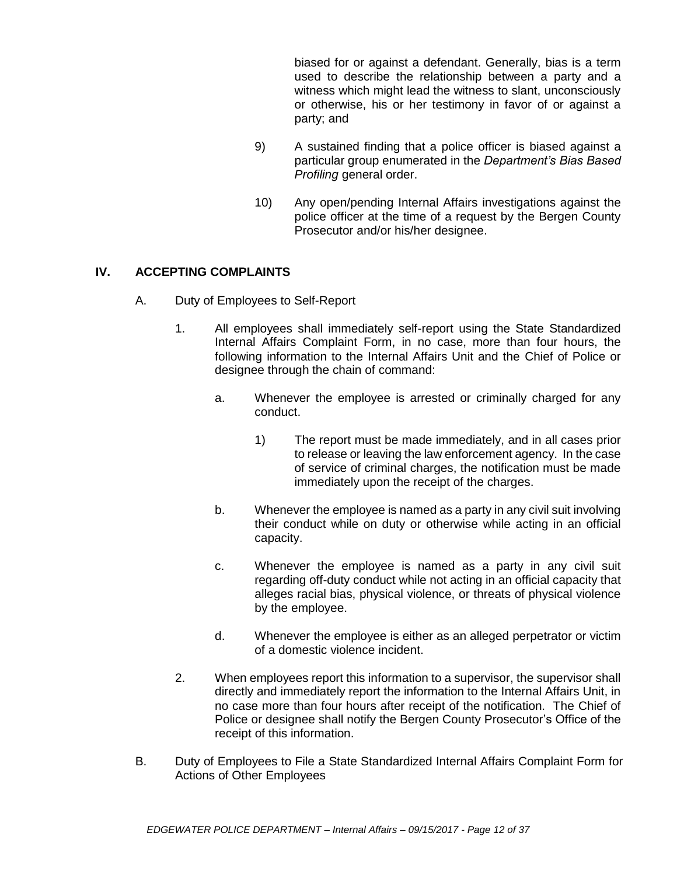biased for or against a defendant. Generally, bias is a term used to describe the relationship between a party and a witness which might lead the witness to slant, unconsciously or otherwise, his or her testimony in favor of or against a party; and

- 9) A sustained finding that a police officer is biased against a particular group enumerated in the *Department's Bias Based Profiling* general order.
- 10) Any open/pending Internal Affairs investigations against the police officer at the time of a request by the Bergen County Prosecutor and/or his/her designee.

## **IV. ACCEPTING COMPLAINTS**

- A. Duty of Employees to Self-Report
	- 1. All employees shall immediately self-report using the State Standardized Internal Affairs Complaint Form, in no case, more than four hours, the following information to the Internal Affairs Unit and the Chief of Police or designee through the chain of command:
		- a. Whenever the employee is arrested or criminally charged for any conduct.
			- 1) The report must be made immediately, and in all cases prior to release or leaving the law enforcement agency. In the case of service of criminal charges, the notification must be made immediately upon the receipt of the charges.
		- b. Whenever the employee is named as a party in any civil suit involving their conduct while on duty or otherwise while acting in an official capacity.
		- c. Whenever the employee is named as a party in any civil suit regarding off-duty conduct while not acting in an official capacity that alleges racial bias, physical violence, or threats of physical violence by the employee.
		- d. Whenever the employee is either as an alleged perpetrator or victim of a domestic violence incident.
	- 2. When employees report this information to a supervisor, the supervisor shall directly and immediately report the information to the Internal Affairs Unit, in no case more than four hours after receipt of the notification. The Chief of Police or designee shall notify the Bergen County Prosecutor's Office of the receipt of this information.
- B. Duty of Employees to File a State Standardized Internal Affairs Complaint Form for Actions of Other Employees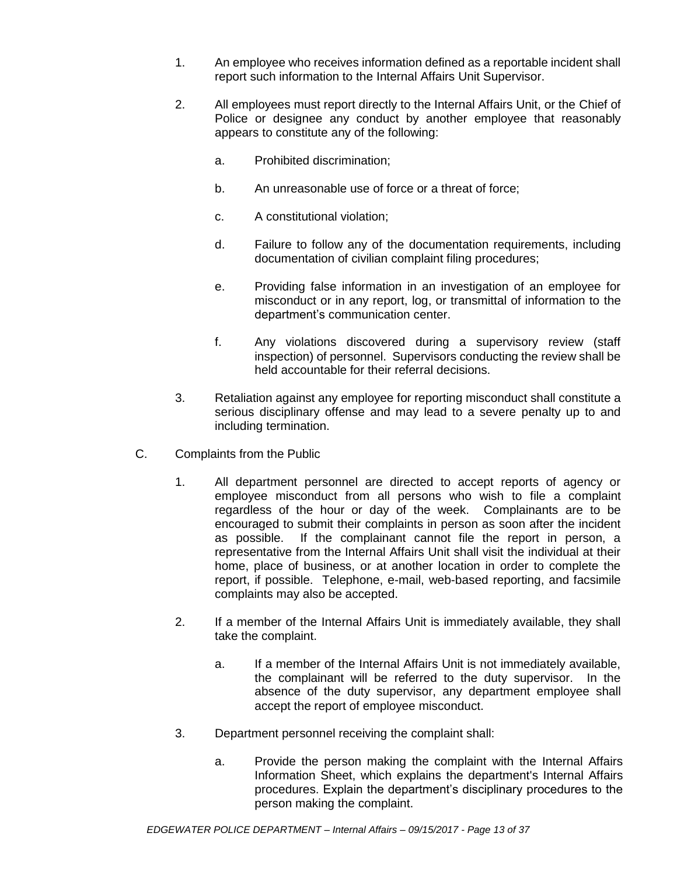- 1. An employee who receives information defined as a reportable incident shall report such information to the Internal Affairs Unit Supervisor.
- 2. All employees must report directly to the Internal Affairs Unit, or the Chief of Police or designee any conduct by another employee that reasonably appears to constitute any of the following:
	- a. Prohibited discrimination;
	- b. An unreasonable use of force or a threat of force;
	- c. A constitutional violation;
	- d. Failure to follow any of the documentation requirements, including documentation of civilian complaint filing procedures;
	- e. Providing false information in an investigation of an employee for misconduct or in any report, log, or transmittal of information to the department's communication center.
	- f. Any violations discovered during a supervisory review (staff inspection) of personnel. Supervisors conducting the review shall be held accountable for their referral decisions.
- 3. Retaliation against any employee for reporting misconduct shall constitute a serious disciplinary offense and may lead to a severe penalty up to and including termination.
- C. Complaints from the Public
	- 1. All department personnel are directed to accept reports of agency or employee misconduct from all persons who wish to file a complaint regardless of the hour or day of the week. Complainants are to be encouraged to submit their complaints in person as soon after the incident as possible. If the complainant cannot file the report in person, a representative from the Internal Affairs Unit shall visit the individual at their home, place of business, or at another location in order to complete the report, if possible. Telephone, e-mail, web-based reporting, and facsimile complaints may also be accepted.
	- 2. If a member of the Internal Affairs Unit is immediately available, they shall take the complaint.
		- a. If a member of the Internal Affairs Unit is not immediately available, the complainant will be referred to the duty supervisor. In the absence of the duty supervisor, any department employee shall accept the report of employee misconduct.
	- 3. Department personnel receiving the complaint shall:
		- a. Provide the person making the complaint with the Internal Affairs Information Sheet, which explains the department's Internal Affairs procedures. Explain the department's disciplinary procedures to the person making the complaint.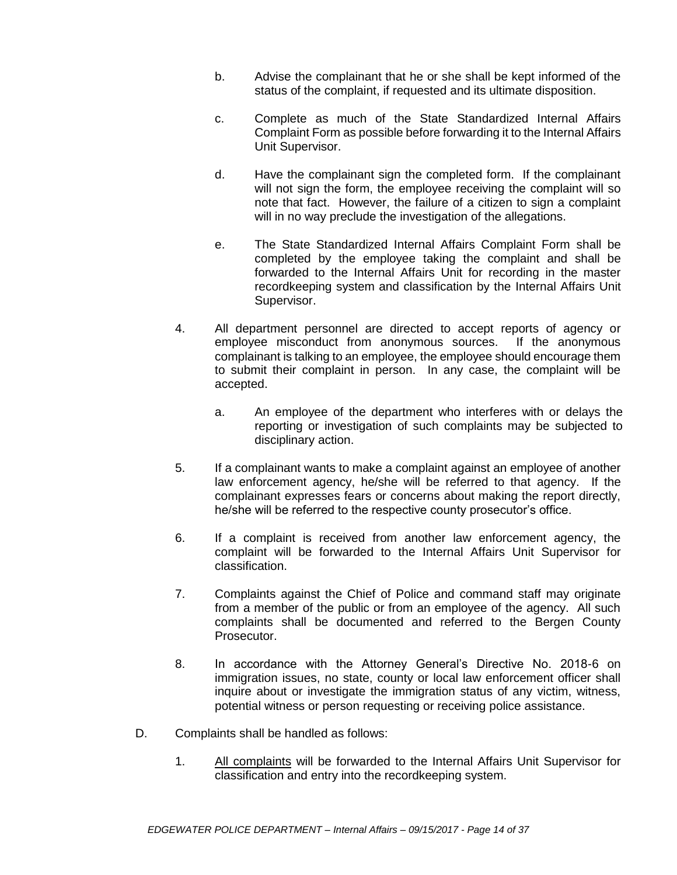- b. Advise the complainant that he or she shall be kept informed of the status of the complaint, if requested and its ultimate disposition.
- c. Complete as much of the State Standardized Internal Affairs Complaint Form as possible before forwarding it to the Internal Affairs Unit Supervisor.
- d. Have the complainant sign the completed form. If the complainant will not sign the form, the employee receiving the complaint will so note that fact. However, the failure of a citizen to sign a complaint will in no way preclude the investigation of the allegations.
- e. The State Standardized Internal Affairs Complaint Form shall be completed by the employee taking the complaint and shall be forwarded to the Internal Affairs Unit for recording in the master recordkeeping system and classification by the Internal Affairs Unit Supervisor.
- 4. All department personnel are directed to accept reports of agency or employee misconduct from anonymous sources. If the anonymous complainant is talking to an employee, the employee should encourage them to submit their complaint in person. In any case, the complaint will be accepted.
	- a. An employee of the department who interferes with or delays the reporting or investigation of such complaints may be subjected to disciplinary action.
- 5. If a complainant wants to make a complaint against an employee of another law enforcement agency, he/she will be referred to that agency. If the complainant expresses fears or concerns about making the report directly, he/she will be referred to the respective county prosecutor's office.
- 6. If a complaint is received from another law enforcement agency, the complaint will be forwarded to the Internal Affairs Unit Supervisor for classification.
- 7. Complaints against the Chief of Police and command staff may originate from a member of the public or from an employee of the agency. All such complaints shall be documented and referred to the Bergen County Prosecutor.
- 8. In accordance with the Attorney General's Directive No. 2018-6 on immigration issues, no state, county or local law enforcement officer shall inquire about or investigate the immigration status of any victim, witness, potential witness or person requesting or receiving police assistance.
- D. Complaints shall be handled as follows:
	- 1. All complaints will be forwarded to the Internal Affairs Unit Supervisor for classification and entry into the recordkeeping system.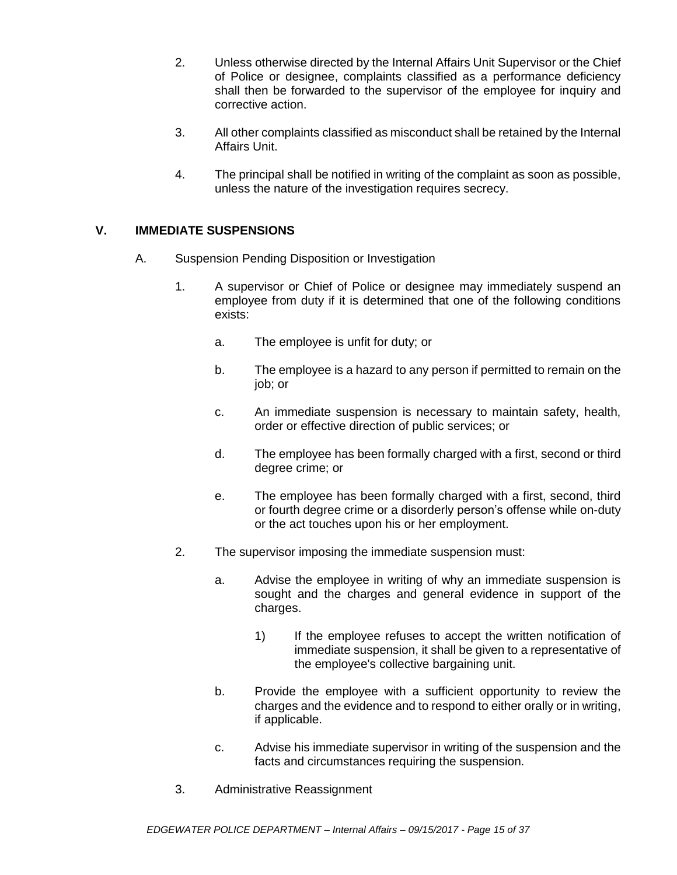- 2. Unless otherwise directed by the Internal Affairs Unit Supervisor or the Chief of Police or designee, complaints classified as a performance deficiency shall then be forwarded to the supervisor of the employee for inquiry and corrective action.
- 3. All other complaints classified as misconduct shall be retained by the Internal Affairs Unit.
- 4. The principal shall be notified in writing of the complaint as soon as possible, unless the nature of the investigation requires secrecy.

## **V. IMMEDIATE SUSPENSIONS**

- A. Suspension Pending Disposition or Investigation
	- 1. A supervisor or Chief of Police or designee may immediately suspend an employee from duty if it is determined that one of the following conditions exists:
		- a. The employee is unfit for duty; or
		- b. The employee is a hazard to any person if permitted to remain on the job; or
		- c. An immediate suspension is necessary to maintain safety, health, order or effective direction of public services; or
		- d. The employee has been formally charged with a first, second or third degree crime; or
		- e. The employee has been formally charged with a first, second, third or fourth degree crime or a disorderly person's offense while on-duty or the act touches upon his or her employment.
	- 2. The supervisor imposing the immediate suspension must:
		- a. Advise the employee in writing of why an immediate suspension is sought and the charges and general evidence in support of the charges.
			- 1) If the employee refuses to accept the written notification of immediate suspension, it shall be given to a representative of the employee's collective bargaining unit.
		- b. Provide the employee with a sufficient opportunity to review the charges and the evidence and to respond to either orally or in writing, if applicable.
		- c. Advise his immediate supervisor in writing of the suspension and the facts and circumstances requiring the suspension.
	- 3. Administrative Reassignment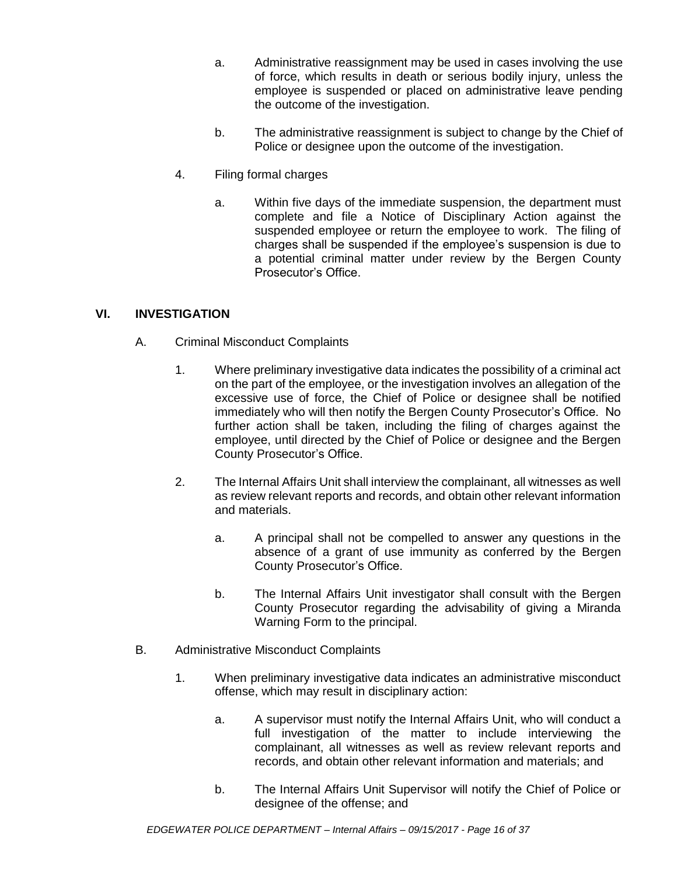- a. Administrative reassignment may be used in cases involving the use of force, which results in death or serious bodily injury, unless the employee is suspended or placed on administrative leave pending the outcome of the investigation.
- b. The administrative reassignment is subject to change by the Chief of Police or designee upon the outcome of the investigation.
- 4. Filing formal charges
	- a. Within five days of the immediate suspension, the department must complete and file a Notice of Disciplinary Action against the suspended employee or return the employee to work. The filing of charges shall be suspended if the employee's suspension is due to a potential criminal matter under review by the Bergen County Prosecutor's Office.

## **VI. INVESTIGATION**

- A. Criminal Misconduct Complaints
	- 1. Where preliminary investigative data indicates the possibility of a criminal act on the part of the employee, or the investigation involves an allegation of the excessive use of force, the Chief of Police or designee shall be notified immediately who will then notify the Bergen County Prosecutor's Office. No further action shall be taken, including the filing of charges against the employee, until directed by the Chief of Police or designee and the Bergen County Prosecutor's Office.
	- 2. The Internal Affairs Unit shall interview the complainant, all witnesses as well as review relevant reports and records, and obtain other relevant information and materials.
		- a. A principal shall not be compelled to answer any questions in the absence of a grant of use immunity as conferred by the Bergen County Prosecutor's Office.
		- b. The Internal Affairs Unit investigator shall consult with the Bergen County Prosecutor regarding the advisability of giving a Miranda Warning Form to the principal.
- B. Administrative Misconduct Complaints
	- 1. When preliminary investigative data indicates an administrative misconduct offense, which may result in disciplinary action:
		- a. A supervisor must notify the Internal Affairs Unit, who will conduct a full investigation of the matter to include interviewing the complainant, all witnesses as well as review relevant reports and records, and obtain other relevant information and materials; and
		- b. The Internal Affairs Unit Supervisor will notify the Chief of Police or designee of the offense; and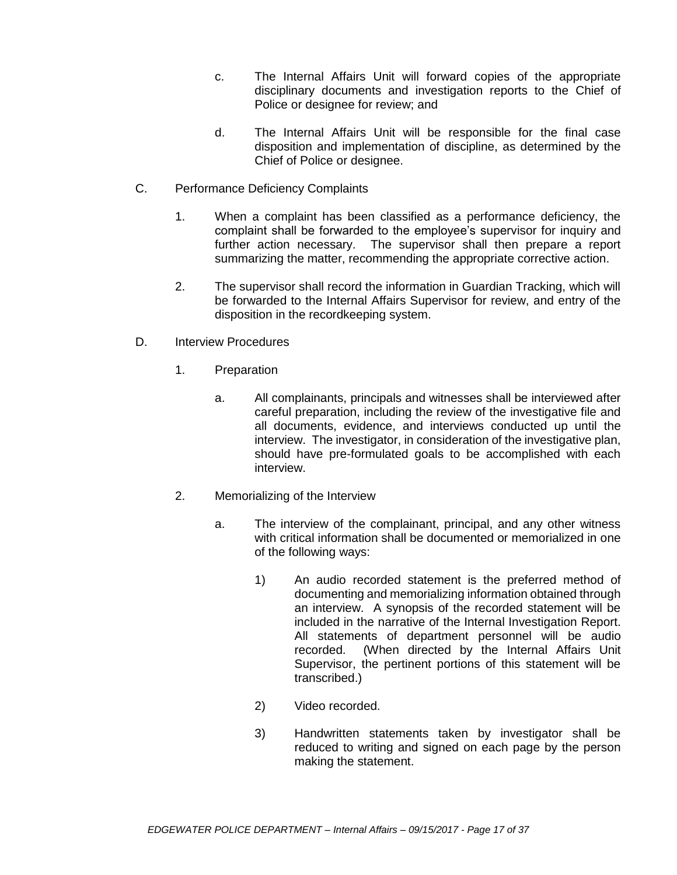- c. The Internal Affairs Unit will forward copies of the appropriate disciplinary documents and investigation reports to the Chief of Police or designee for review; and
- d. The Internal Affairs Unit will be responsible for the final case disposition and implementation of discipline, as determined by the Chief of Police or designee.
- C. Performance Deficiency Complaints
	- 1. When a complaint has been classified as a performance deficiency, the complaint shall be forwarded to the employee's supervisor for inquiry and further action necessary. The supervisor shall then prepare a report summarizing the matter, recommending the appropriate corrective action.
	- 2. The supervisor shall record the information in Guardian Tracking, which will be forwarded to the Internal Affairs Supervisor for review, and entry of the disposition in the recordkeeping system.
- D. Interview Procedures
	- 1. Preparation
		- a. All complainants, principals and witnesses shall be interviewed after careful preparation, including the review of the investigative file and all documents, evidence, and interviews conducted up until the interview. The investigator, in consideration of the investigative plan, should have pre-formulated goals to be accomplished with each interview.
	- 2. Memorializing of the Interview
		- a. The interview of the complainant, principal, and any other witness with critical information shall be documented or memorialized in one of the following ways:
			- 1) An audio recorded statement is the preferred method of documenting and memorializing information obtained through an interview. A synopsis of the recorded statement will be included in the narrative of the Internal Investigation Report. All statements of department personnel will be audio recorded. (When directed by the Internal Affairs Unit Supervisor, the pertinent portions of this statement will be transcribed.)
			- 2) Video recorded.
			- 3) Handwritten statements taken by investigator shall be reduced to writing and signed on each page by the person making the statement.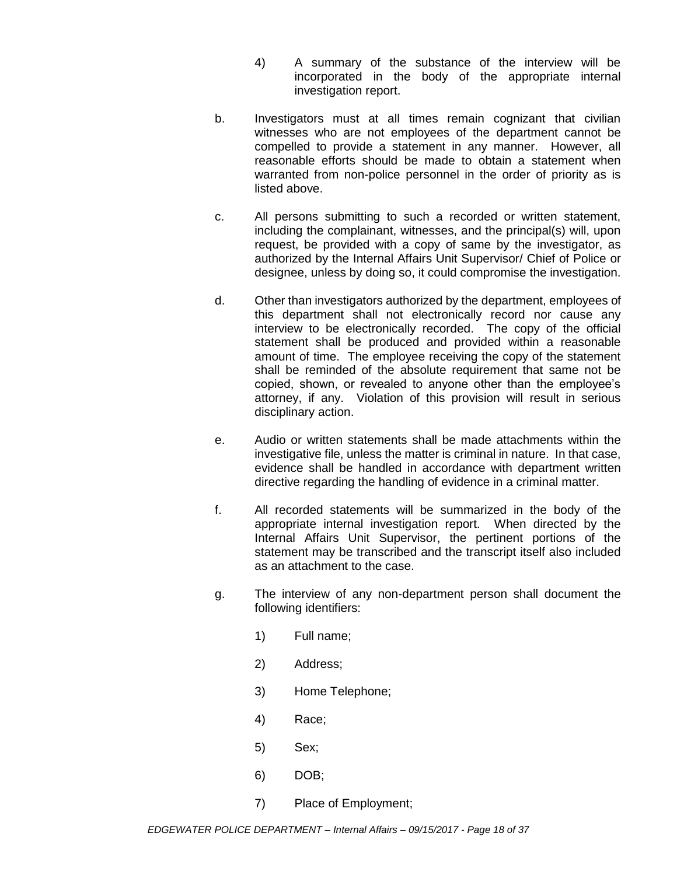- 4) A summary of the substance of the interview will be incorporated in the body of the appropriate internal investigation report.
- b. Investigators must at all times remain cognizant that civilian witnesses who are not employees of the department cannot be compelled to provide a statement in any manner. However, all reasonable efforts should be made to obtain a statement when warranted from non-police personnel in the order of priority as is listed above.
- c. All persons submitting to such a recorded or written statement, including the complainant, witnesses, and the principal(s) will, upon request, be provided with a copy of same by the investigator, as authorized by the Internal Affairs Unit Supervisor/ Chief of Police or designee, unless by doing so, it could compromise the investigation.
- d. Other than investigators authorized by the department, employees of this department shall not electronically record nor cause any interview to be electronically recorded. The copy of the official statement shall be produced and provided within a reasonable amount of time. The employee receiving the copy of the statement shall be reminded of the absolute requirement that same not be copied, shown, or revealed to anyone other than the employee's attorney, if any. Violation of this provision will result in serious disciplinary action.
- e. Audio or written statements shall be made attachments within the investigative file, unless the matter is criminal in nature. In that case, evidence shall be handled in accordance with department written directive regarding the handling of evidence in a criminal matter.
- f. All recorded statements will be summarized in the body of the appropriate internal investigation report. When directed by the Internal Affairs Unit Supervisor, the pertinent portions of the statement may be transcribed and the transcript itself also included as an attachment to the case.
- g. The interview of any non-department person shall document the following identifiers:
	- 1) Full name;
	- 2) Address;
	- 3) Home Telephone;
	- 4) Race;
	- 5) Sex;
	- 6) DOB;
	- 7) Place of Employment;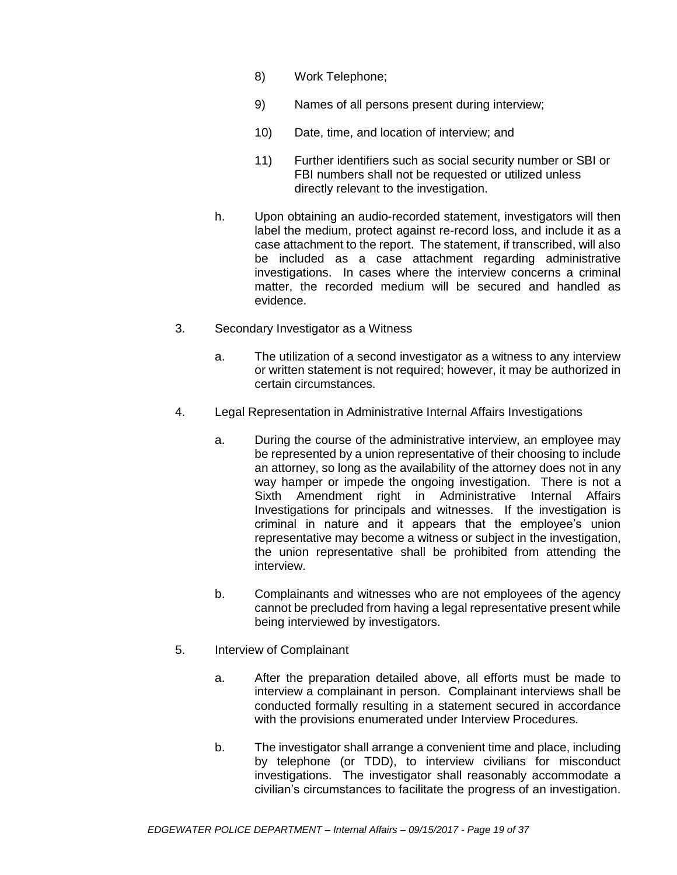- 8) Work Telephone;
- 9) Names of all persons present during interview;
- 10) Date, time, and location of interview; and
- 11) Further identifiers such as social security number or SBI or FBI numbers shall not be requested or utilized unless directly relevant to the investigation.
- h. Upon obtaining an audio-recorded statement, investigators will then label the medium, protect against re-record loss, and include it as a case attachment to the report. The statement, if transcribed, will also be included as a case attachment regarding administrative investigations. In cases where the interview concerns a criminal matter, the recorded medium will be secured and handled as evidence.
- 3. Secondary Investigator as a Witness
	- a. The utilization of a second investigator as a witness to any interview or written statement is not required; however, it may be authorized in certain circumstances.
- 4. Legal Representation in Administrative Internal Affairs Investigations
	- a. During the course of the administrative interview, an employee may be represented by a union representative of their choosing to include an attorney, so long as the availability of the attorney does not in any way hamper or impede the ongoing investigation. There is not a Sixth Amendment right in Administrative Internal Affairs Investigations for principals and witnesses. If the investigation is criminal in nature and it appears that the employee's union representative may become a witness or subject in the investigation, the union representative shall be prohibited from attending the interview.
	- b. Complainants and witnesses who are not employees of the agency cannot be precluded from having a legal representative present while being interviewed by investigators.
- 5. Interview of Complainant
	- a. After the preparation detailed above, all efforts must be made to interview a complainant in person. Complainant interviews shall be conducted formally resulting in a statement secured in accordance with the provisions enumerated under Interview Procedures.
	- b. The investigator shall arrange a convenient time and place, including by telephone (or TDD), to interview civilians for misconduct investigations. The investigator shall reasonably accommodate a civilian's circumstances to facilitate the progress of an investigation.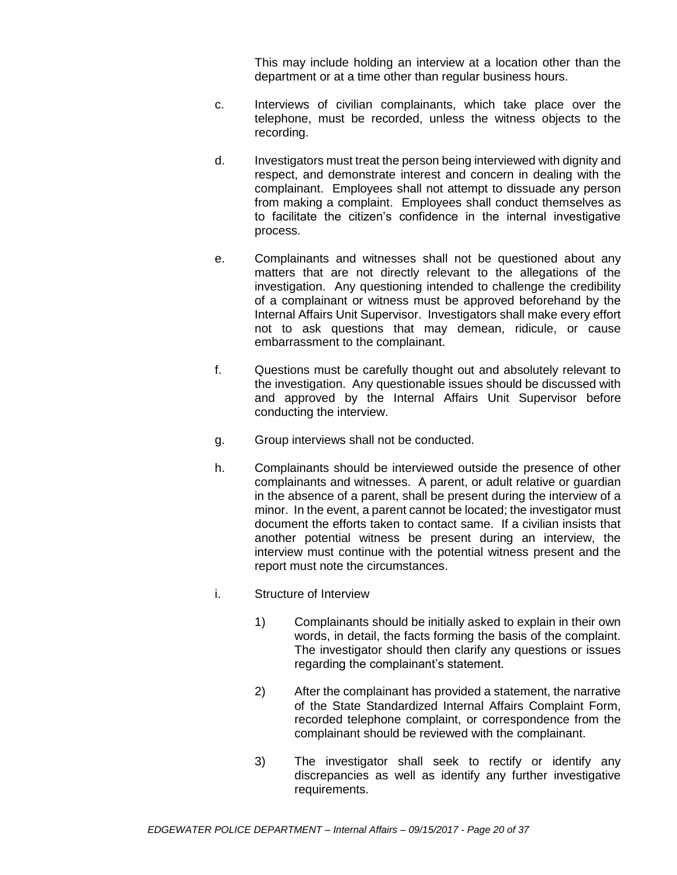This may include holding an interview at a location other than the department or at a time other than regular business hours.

- c. Interviews of civilian complainants, which take place over the telephone, must be recorded, unless the witness objects to the recording.
- d. Investigators must treat the person being interviewed with dignity and respect, and demonstrate interest and concern in dealing with the complainant. Employees shall not attempt to dissuade any person from making a complaint. Employees shall conduct themselves as to facilitate the citizen's confidence in the internal investigative process.
- e. Complainants and witnesses shall not be questioned about any matters that are not directly relevant to the allegations of the investigation. Any questioning intended to challenge the credibility of a complainant or witness must be approved beforehand by the Internal Affairs Unit Supervisor. Investigators shall make every effort not to ask questions that may demean, ridicule, or cause embarrassment to the complainant.
- f. Questions must be carefully thought out and absolutely relevant to the investigation. Any questionable issues should be discussed with and approved by the Internal Affairs Unit Supervisor before conducting the interview.
- g. Group interviews shall not be conducted.
- h. Complainants should be interviewed outside the presence of other complainants and witnesses. A parent, or adult relative or guardian in the absence of a parent, shall be present during the interview of a minor. In the event, a parent cannot be located; the investigator must document the efforts taken to contact same. If a civilian insists that another potential witness be present during an interview, the interview must continue with the potential witness present and the report must note the circumstances.
- i. Structure of Interview
	- 1) Complainants should be initially asked to explain in their own words, in detail, the facts forming the basis of the complaint. The investigator should then clarify any questions or issues regarding the complainant's statement.
	- 2) After the complainant has provided a statement, the narrative of the State Standardized Internal Affairs Complaint Form, recorded telephone complaint, or correspondence from the complainant should be reviewed with the complainant.
	- 3) The investigator shall seek to rectify or identify any discrepancies as well as identify any further investigative requirements.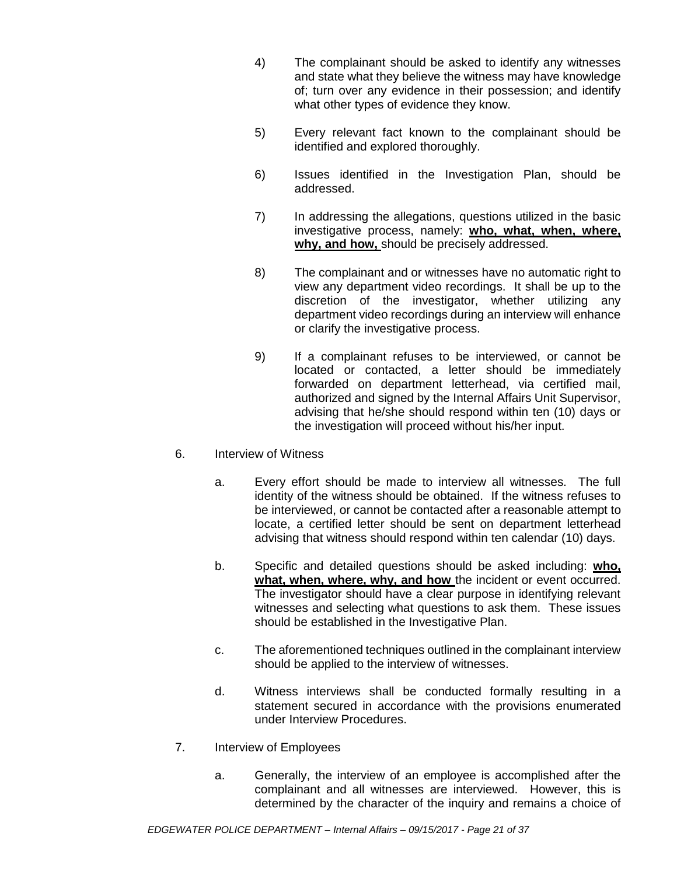- 4) The complainant should be asked to identify any witnesses and state what they believe the witness may have knowledge of; turn over any evidence in their possession; and identify what other types of evidence they know.
- 5) Every relevant fact known to the complainant should be identified and explored thoroughly.
- 6) Issues identified in the Investigation Plan, should be addressed.
- 7) In addressing the allegations, questions utilized in the basic investigative process, namely: **who, what, when, where, why, and how,** should be precisely addressed.
- 8) The complainant and or witnesses have no automatic right to view any department video recordings. It shall be up to the discretion of the investigator, whether utilizing any department video recordings during an interview will enhance or clarify the investigative process.
- 9) If a complainant refuses to be interviewed, or cannot be located or contacted, a letter should be immediately forwarded on department letterhead, via certified mail, authorized and signed by the Internal Affairs Unit Supervisor, advising that he/she should respond within ten (10) days or the investigation will proceed without his/her input.
- 6. Interview of Witness
	- a. Every effort should be made to interview all witnesses. The full identity of the witness should be obtained. If the witness refuses to be interviewed, or cannot be contacted after a reasonable attempt to locate, a certified letter should be sent on department letterhead advising that witness should respond within ten calendar (10) days.
	- b. Specific and detailed questions should be asked including: **who, what, when, where, why, and how** the incident or event occurred. The investigator should have a clear purpose in identifying relevant witnesses and selecting what questions to ask them. These issues should be established in the Investigative Plan.
	- c. The aforementioned techniques outlined in the complainant interview should be applied to the interview of witnesses.
	- d. Witness interviews shall be conducted formally resulting in a statement secured in accordance with the provisions enumerated under Interview Procedures.
- 7. Interview of Employees
	- a. Generally, the interview of an employee is accomplished after the complainant and all witnesses are interviewed. However, this is determined by the character of the inquiry and remains a choice of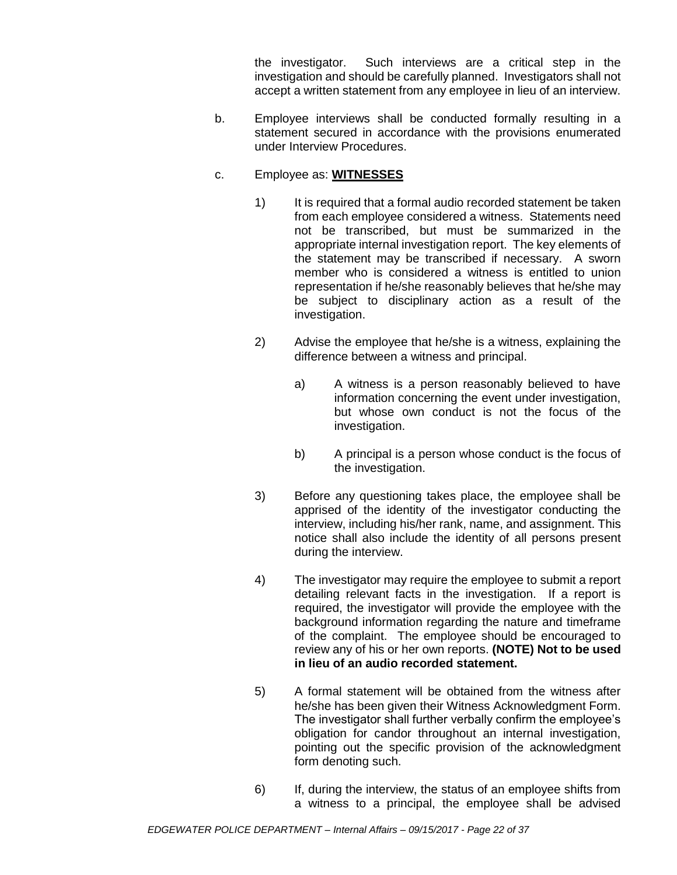the investigator. Such interviews are a critical step in the investigation and should be carefully planned. Investigators shall not accept a written statement from any employee in lieu of an interview.

- b. Employee interviews shall be conducted formally resulting in a statement secured in accordance with the provisions enumerated under Interview Procedures.
- c. Employee as: **WITNESSES** 
	- 1) It is required that a formal audio recorded statement be taken from each employee considered a witness. Statements need not be transcribed, but must be summarized in the appropriate internal investigation report. The key elements of the statement may be transcribed if necessary. A sworn member who is considered a witness is entitled to union representation if he/she reasonably believes that he/she may be subject to disciplinary action as a result of the investigation.
	- 2) Advise the employee that he/she is a witness, explaining the difference between a witness and principal.
		- a) A witness is a person reasonably believed to have information concerning the event under investigation, but whose own conduct is not the focus of the investigation.
		- b) A principal is a person whose conduct is the focus of the investigation.
	- 3) Before any questioning takes place, the employee shall be apprised of the identity of the investigator conducting the interview, including his/her rank, name, and assignment. This notice shall also include the identity of all persons present during the interview.
	- 4) The investigator may require the employee to submit a report detailing relevant facts in the investigation. If a report is required, the investigator will provide the employee with the background information regarding the nature and timeframe of the complaint. The employee should be encouraged to review any of his or her own reports. **(NOTE) Not to be used in lieu of an audio recorded statement.**
	- 5) A formal statement will be obtained from the witness after he/she has been given their Witness Acknowledgment Form. The investigator shall further verbally confirm the employee's obligation for candor throughout an internal investigation, pointing out the specific provision of the acknowledgment form denoting such.
	- 6) If, during the interview, the status of an employee shifts from a witness to a principal, the employee shall be advised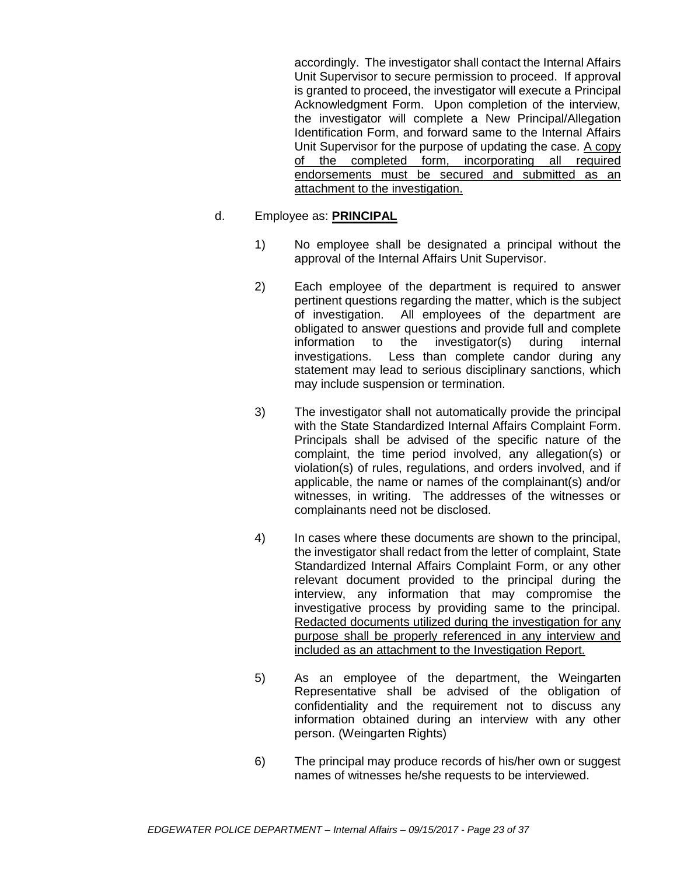accordingly. The investigator shall contact the Internal Affairs Unit Supervisor to secure permission to proceed. If approval is granted to proceed, the investigator will execute a Principal Acknowledgment Form. Upon completion of the interview, the investigator will complete a New Principal/Allegation Identification Form, and forward same to the Internal Affairs Unit Supervisor for the purpose of updating the case. A copy of the completed form, incorporating all required endorsements must be secured and submitted as an attachment to the investigation.

#### d. Employee as: **PRINCIPAL**

- 1) No employee shall be designated a principal without the approval of the Internal Affairs Unit Supervisor.
- 2) Each employee of the department is required to answer pertinent questions regarding the matter, which is the subject of investigation. All employees of the department are obligated to answer questions and provide full and complete information to the investigator(s) during internal investigations. Less than complete candor during any statement may lead to serious disciplinary sanctions, which may include suspension or termination.
- 3) The investigator shall not automatically provide the principal with the State Standardized Internal Affairs Complaint Form. Principals shall be advised of the specific nature of the complaint, the time period involved, any allegation(s) or violation(s) of rules, regulations, and orders involved, and if applicable, the name or names of the complainant(s) and/or witnesses, in writing. The addresses of the witnesses or complainants need not be disclosed.
- 4) In cases where these documents are shown to the principal, the investigator shall redact from the letter of complaint, State Standardized Internal Affairs Complaint Form, or any other relevant document provided to the principal during the interview, any information that may compromise the investigative process by providing same to the principal. Redacted documents utilized during the investigation for any purpose shall be properly referenced in any interview and included as an attachment to the Investigation Report.
- 5) As an employee of the department, the Weingarten Representative shall be advised of the obligation of confidentiality and the requirement not to discuss any information obtained during an interview with any other person. (Weingarten Rights)
- 6) The principal may produce records of his/her own or suggest names of witnesses he/she requests to be interviewed.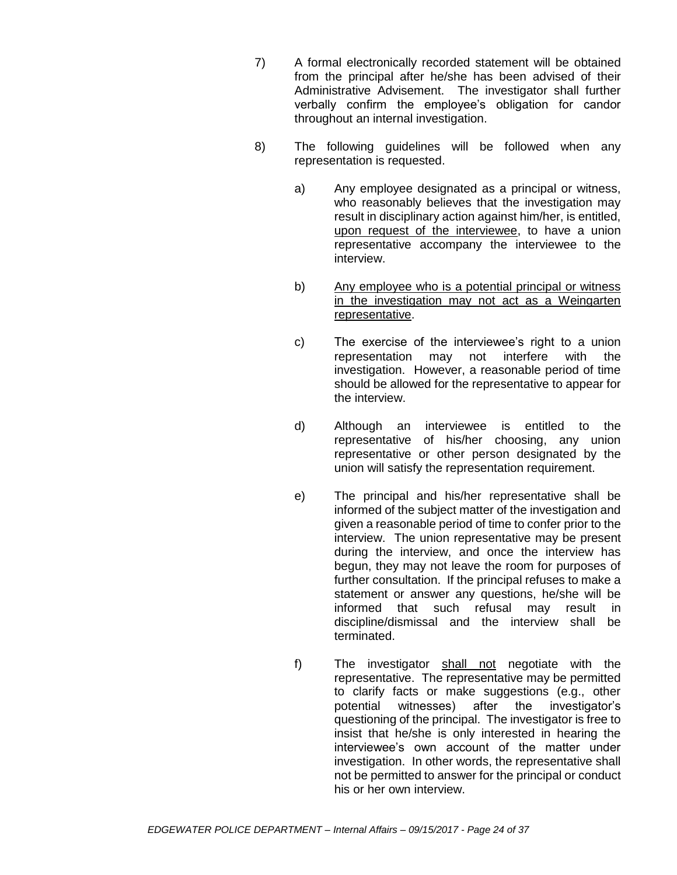- 7) A formal electronically recorded statement will be obtained from the principal after he/she has been advised of their Administrative Advisement. The investigator shall further verbally confirm the employee's obligation for candor throughout an internal investigation.
- 8) The following guidelines will be followed when any representation is requested.
	- a) Any employee designated as a principal or witness, who reasonably believes that the investigation may result in disciplinary action against him/her, is entitled, upon request of the interviewee, to have a union representative accompany the interviewee to the interview.
	- b) Any employee who is a potential principal or witness in the investigation may not act as a Weingarten representative.
	- c) The exercise of the interviewee's right to a union representation may not interfere with the investigation. However, a reasonable period of time should be allowed for the representative to appear for the interview.
	- d) Although an interviewee is entitled to the representative of his/her choosing, any union representative or other person designated by the union will satisfy the representation requirement.
	- e) The principal and his/her representative shall be informed of the subject matter of the investigation and given a reasonable period of time to confer prior to the interview. The union representative may be present during the interview, and once the interview has begun, they may not leave the room for purposes of further consultation. If the principal refuses to make a statement or answer any questions, he/she will be informed that such refusal may result in discipline/dismissal and the interview shall be terminated.
	- f) The investigator shall not negotiate with the representative. The representative may be permitted to clarify facts or make suggestions (e.g., other potential witnesses) after the investigator's questioning of the principal. The investigator is free to insist that he/she is only interested in hearing the interviewee's own account of the matter under investigation. In other words, the representative shall not be permitted to answer for the principal or conduct his or her own interview.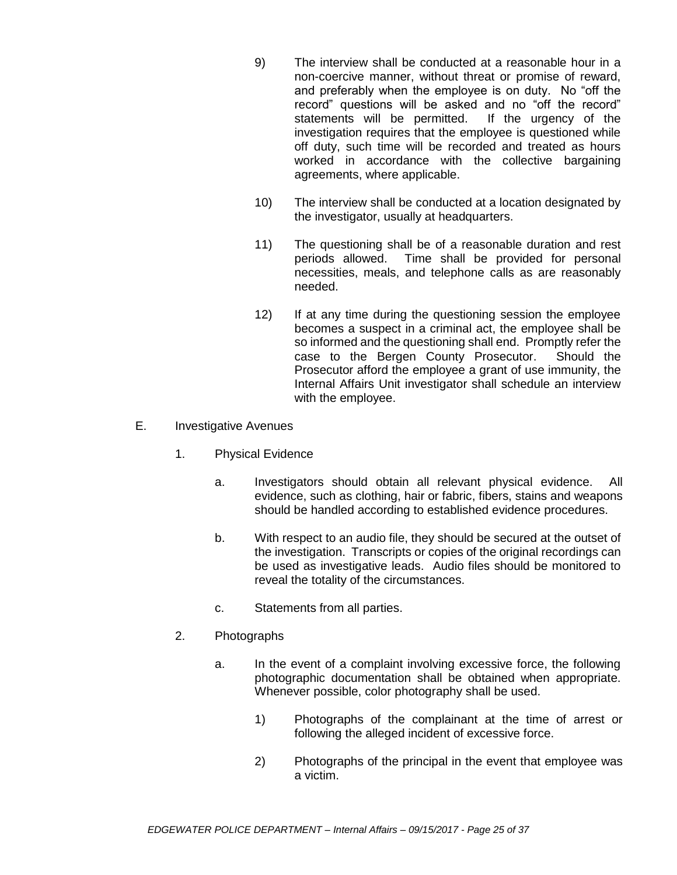- 9) The interview shall be conducted at a reasonable hour in a non-coercive manner, without threat or promise of reward, and preferably when the employee is on duty. No "off the record" questions will be asked and no "off the record" statements will be permitted. If the urgency of the investigation requires that the employee is questioned while off duty, such time will be recorded and treated as hours worked in accordance with the collective bargaining agreements, where applicable.
- 10) The interview shall be conducted at a location designated by the investigator, usually at headquarters.
- 11) The questioning shall be of a reasonable duration and rest periods allowed. Time shall be provided for personal necessities, meals, and telephone calls as are reasonably needed.
- 12) If at any time during the questioning session the employee becomes a suspect in a criminal act, the employee shall be so informed and the questioning shall end. Promptly refer the case to the Bergen County Prosecutor. Should the Prosecutor afford the employee a grant of use immunity, the Internal Affairs Unit investigator shall schedule an interview with the employee.
- E. Investigative Avenues
	- 1. Physical Evidence
		- a. Investigators should obtain all relevant physical evidence. All evidence, such as clothing, hair or fabric, fibers, stains and weapons should be handled according to established evidence procedures.
		- b. With respect to an audio file, they should be secured at the outset of the investigation. Transcripts or copies of the original recordings can be used as investigative leads. Audio files should be monitored to reveal the totality of the circumstances.
		- c. Statements from all parties.
	- 2. Photographs
		- a. In the event of a complaint involving excessive force, the following photographic documentation shall be obtained when appropriate. Whenever possible, color photography shall be used.
			- 1) Photographs of the complainant at the time of arrest or following the alleged incident of excessive force.
			- 2) Photographs of the principal in the event that employee was a victim.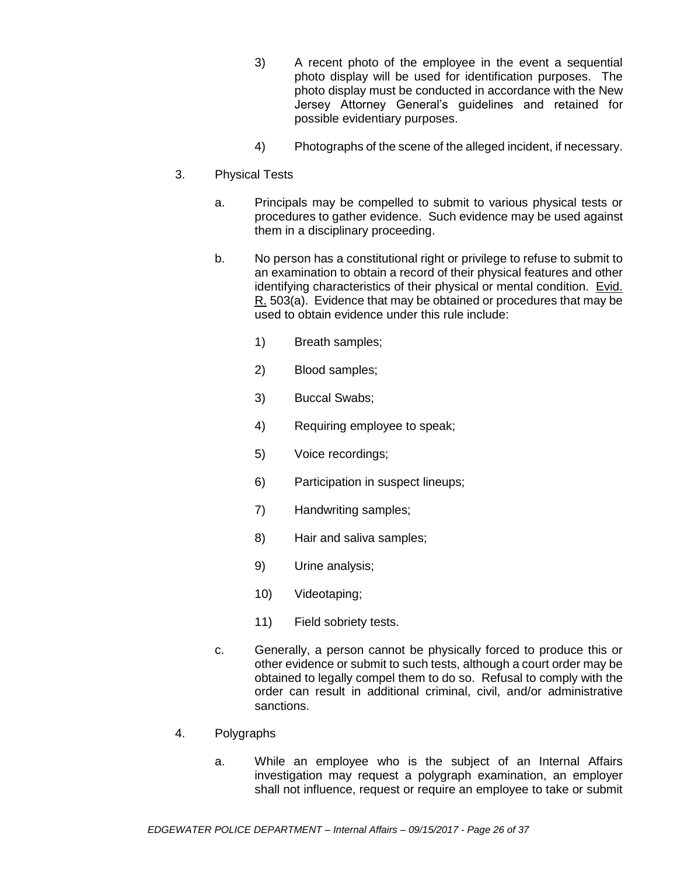- 3) A recent photo of the employee in the event a sequential photo display will be used for identification purposes. The photo display must be conducted in accordance with the New Jersey Attorney General's guidelines and retained for possible evidentiary purposes.
- 4) Photographs of the scene of the alleged incident, if necessary.
- 3. Physical Tests
	- a. Principals may be compelled to submit to various physical tests or procedures to gather evidence. Such evidence may be used against them in a disciplinary proceeding.
	- b. No person has a constitutional right or privilege to refuse to submit to an examination to obtain a record of their physical features and other identifying characteristics of their physical or mental condition. Evid. R. 503(a). Evidence that may be obtained or procedures that may be used to obtain evidence under this rule include:
		- 1) Breath samples;
		- 2) Blood samples;
		- 3) Buccal Swabs;
		- 4) Requiring employee to speak;
		- 5) Voice recordings;
		- 6) Participation in suspect lineups;
		- 7) Handwriting samples;
		- 8) Hair and saliva samples;
		- 9) Urine analysis;
		- 10) Videotaping;
		- 11) Field sobriety tests.
	- c. Generally, a person cannot be physically forced to produce this or other evidence or submit to such tests, although a court order may be obtained to legally compel them to do so. Refusal to comply with the order can result in additional criminal, civil, and/or administrative sanctions.
- 4. Polygraphs
	- a. While an employee who is the subject of an Internal Affairs investigation may request a polygraph examination, an employer shall not influence, request or require an employee to take or submit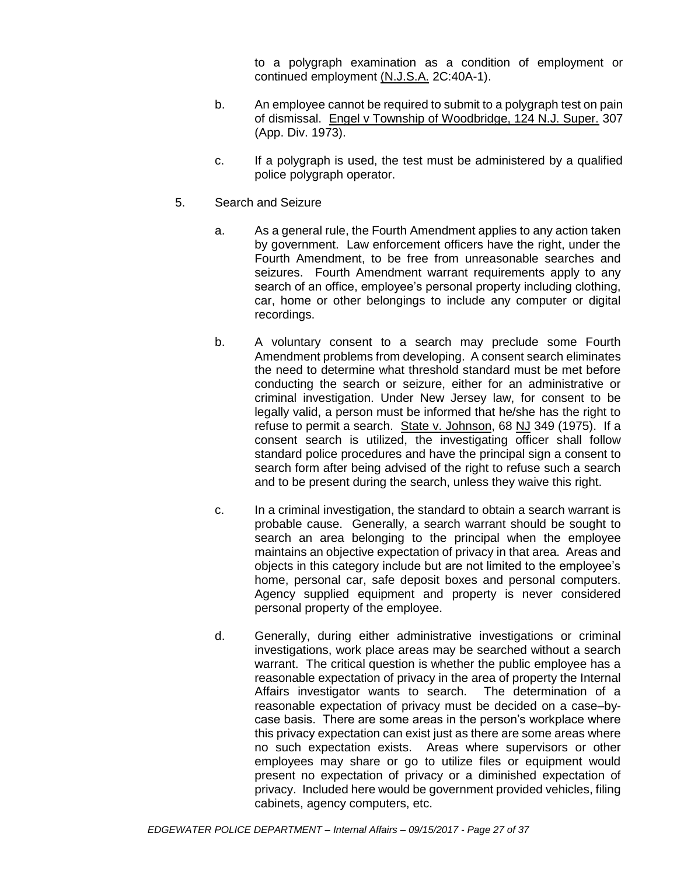to a polygraph examination as a condition of employment or continued employment (N.J.S.A. 2C:40A-1).

- b. An employee cannot be required to submit to a polygraph test on pain of dismissal. Engel v Township of Woodbridge, 124 N.J. Super. 307 (App. Div. 1973).
- c. If a polygraph is used, the test must be administered by a qualified police polygraph operator.
- 5. Search and Seizure
	- a. As a general rule, the Fourth Amendment applies to any action taken by government. Law enforcement officers have the right, under the Fourth Amendment, to be free from unreasonable searches and seizures. Fourth Amendment warrant requirements apply to any search of an office, employee's personal property including clothing, car, home or other belongings to include any computer or digital recordings.
	- b. A voluntary consent to a search may preclude some Fourth Amendment problems from developing. A consent search eliminates the need to determine what threshold standard must be met before conducting the search or seizure, either for an administrative or criminal investigation. Under New Jersey law, for consent to be legally valid, a person must be informed that he/she has the right to refuse to permit a search. State v. Johnson, 68 NJ 349 (1975). If a consent search is utilized, the investigating officer shall follow standard police procedures and have the principal sign a consent to search form after being advised of the right to refuse such a search and to be present during the search, unless they waive this right.
	- c. In a criminal investigation, the standard to obtain a search warrant is probable cause. Generally, a search warrant should be sought to search an area belonging to the principal when the employee maintains an objective expectation of privacy in that area. Areas and objects in this category include but are not limited to the employee's home, personal car, safe deposit boxes and personal computers. Agency supplied equipment and property is never considered personal property of the employee.
	- d. Generally, during either administrative investigations or criminal investigations, work place areas may be searched without a search warrant. The critical question is whether the public employee has a reasonable expectation of privacy in the area of property the Internal Affairs investigator wants to search. The determination of a reasonable expectation of privacy must be decided on a case–bycase basis. There are some areas in the person's workplace where this privacy expectation can exist just as there are some areas where no such expectation exists. Areas where supervisors or other employees may share or go to utilize files or equipment would present no expectation of privacy or a diminished expectation of privacy. Included here would be government provided vehicles, filing cabinets, agency computers, etc.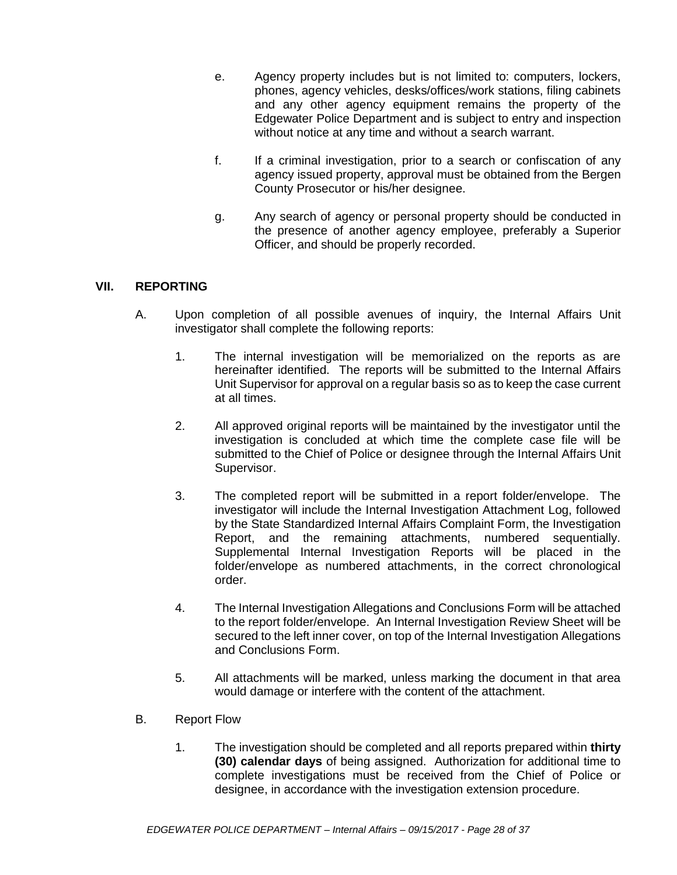- e. Agency property includes but is not limited to: computers, lockers, phones, agency vehicles, desks/offices/work stations, filing cabinets and any other agency equipment remains the property of the Edgewater Police Department and is subject to entry and inspection without notice at any time and without a search warrant.
- f. If a criminal investigation, prior to a search or confiscation of any agency issued property, approval must be obtained from the Bergen County Prosecutor or his/her designee.
- g. Any search of agency or personal property should be conducted in the presence of another agency employee, preferably a Superior Officer, and should be properly recorded.

## **VII. REPORTING**

- A. Upon completion of all possible avenues of inquiry, the Internal Affairs Unit investigator shall complete the following reports:
	- 1. The internal investigation will be memorialized on the reports as are hereinafter identified. The reports will be submitted to the Internal Affairs Unit Supervisor for approval on a regular basis so as to keep the case current at all times.
	- 2. All approved original reports will be maintained by the investigator until the investigation is concluded at which time the complete case file will be submitted to the Chief of Police or designee through the Internal Affairs Unit Supervisor.
	- 3. The completed report will be submitted in a report folder/envelope. The investigator will include the Internal Investigation Attachment Log, followed by the State Standardized Internal Affairs Complaint Form, the Investigation Report, and the remaining attachments, numbered sequentially. Supplemental Internal Investigation Reports will be placed in the folder/envelope as numbered attachments, in the correct chronological order.
	- 4. The Internal Investigation Allegations and Conclusions Form will be attached to the report folder/envelope. An Internal Investigation Review Sheet will be secured to the left inner cover, on top of the Internal Investigation Allegations and Conclusions Form.
	- 5. All attachments will be marked, unless marking the document in that area would damage or interfere with the content of the attachment.
- B. Report Flow
	- 1. The investigation should be completed and all reports prepared within **thirty (30) calendar days** of being assigned. Authorization for additional time to complete investigations must be received from the Chief of Police or designee, in accordance with the investigation extension procedure.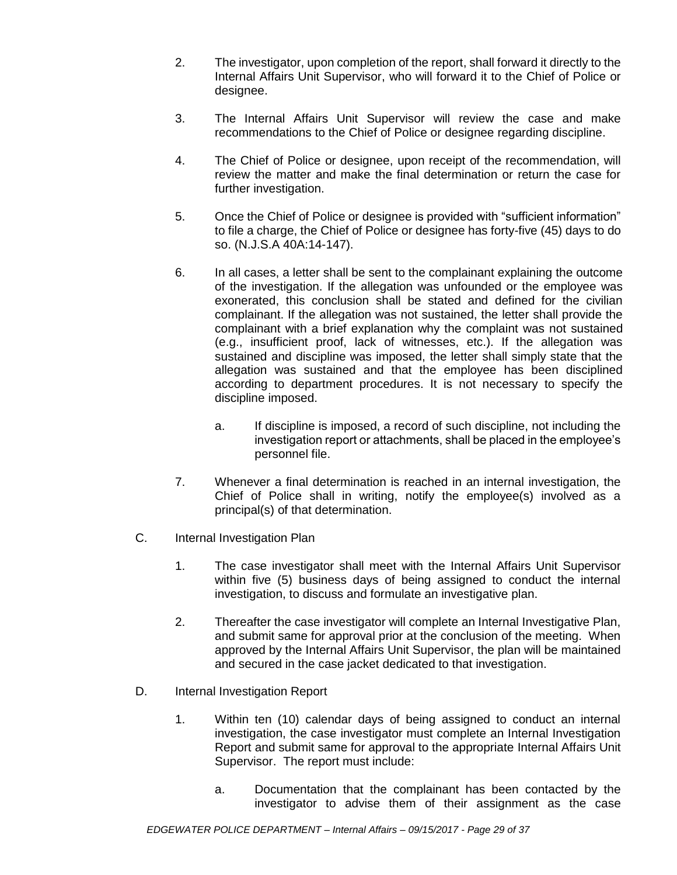- 2. The investigator, upon completion of the report, shall forward it directly to the Internal Affairs Unit Supervisor, who will forward it to the Chief of Police or designee.
- 3. The Internal Affairs Unit Supervisor will review the case and make recommendations to the Chief of Police or designee regarding discipline.
- 4. The Chief of Police or designee, upon receipt of the recommendation, will review the matter and make the final determination or return the case for further investigation.
- 5. Once the Chief of Police or designee is provided with "sufficient information" to file a charge, the Chief of Police or designee has forty-five (45) days to do so. (N.J.S.A 40A:14-147).
- 6. In all cases, a letter shall be sent to the complainant explaining the outcome of the investigation. If the allegation was unfounded or the employee was exonerated, this conclusion shall be stated and defined for the civilian complainant. If the allegation was not sustained, the letter shall provide the complainant with a brief explanation why the complaint was not sustained (e.g., insufficient proof, lack of witnesses, etc.). If the allegation was sustained and discipline was imposed, the letter shall simply state that the allegation was sustained and that the employee has been disciplined according to department procedures. It is not necessary to specify the discipline imposed.
	- a. If discipline is imposed, a record of such discipline, not including the investigation report or attachments, shall be placed in the employee's personnel file.
- 7. Whenever a final determination is reached in an internal investigation, the Chief of Police shall in writing, notify the employee(s) involved as a principal(s) of that determination.
- C. Internal Investigation Plan
	- 1. The case investigator shall meet with the Internal Affairs Unit Supervisor within five (5) business days of being assigned to conduct the internal investigation, to discuss and formulate an investigative plan.
	- 2. Thereafter the case investigator will complete an Internal Investigative Plan, and submit same for approval prior at the conclusion of the meeting. When approved by the Internal Affairs Unit Supervisor, the plan will be maintained and secured in the case jacket dedicated to that investigation.
- D. Internal Investigation Report
	- 1. Within ten (10) calendar days of being assigned to conduct an internal investigation, the case investigator must complete an Internal Investigation Report and submit same for approval to the appropriate Internal Affairs Unit Supervisor. The report must include:
		- a. Documentation that the complainant has been contacted by the investigator to advise them of their assignment as the case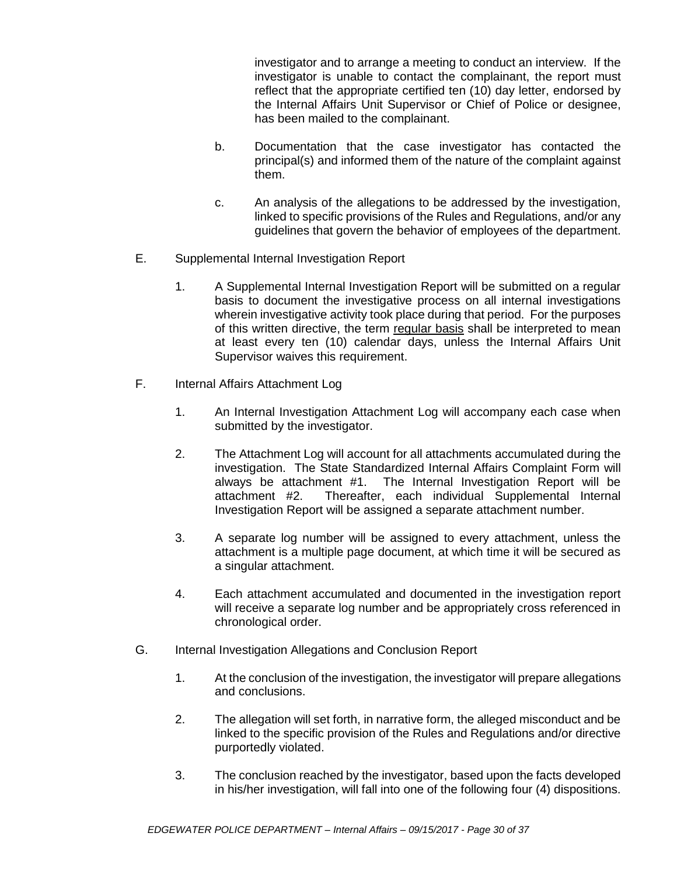investigator and to arrange a meeting to conduct an interview. If the investigator is unable to contact the complainant, the report must reflect that the appropriate certified ten (10) day letter, endorsed by the Internal Affairs Unit Supervisor or Chief of Police or designee, has been mailed to the complainant.

- b. Documentation that the case investigator has contacted the principal(s) and informed them of the nature of the complaint against them.
- c. An analysis of the allegations to be addressed by the investigation, linked to specific provisions of the Rules and Regulations, and/or any guidelines that govern the behavior of employees of the department.
- E. Supplemental Internal Investigation Report
	- 1. A Supplemental Internal Investigation Report will be submitted on a regular basis to document the investigative process on all internal investigations wherein investigative activity took place during that period. For the purposes of this written directive, the term regular basis shall be interpreted to mean at least every ten (10) calendar days, unless the Internal Affairs Unit Supervisor waives this requirement.
- F. Internal Affairs Attachment Log
	- 1. An Internal Investigation Attachment Log will accompany each case when submitted by the investigator.
	- 2. The Attachment Log will account for all attachments accumulated during the investigation. The State Standardized Internal Affairs Complaint Form will always be attachment #1. The Internal Investigation Report will be attachment #2. Thereafter, each individual Supplemental Internal Investigation Report will be assigned a separate attachment number.
	- 3. A separate log number will be assigned to every attachment, unless the attachment is a multiple page document, at which time it will be secured as a singular attachment.
	- 4. Each attachment accumulated and documented in the investigation report will receive a separate log number and be appropriately cross referenced in chronological order.
- G. Internal Investigation Allegations and Conclusion Report
	- 1. At the conclusion of the investigation, the investigator will prepare allegations and conclusions.
	- 2. The allegation will set forth, in narrative form, the alleged misconduct and be linked to the specific provision of the Rules and Regulations and/or directive purportedly violated.
	- 3. The conclusion reached by the investigator, based upon the facts developed in his/her investigation, will fall into one of the following four (4) dispositions.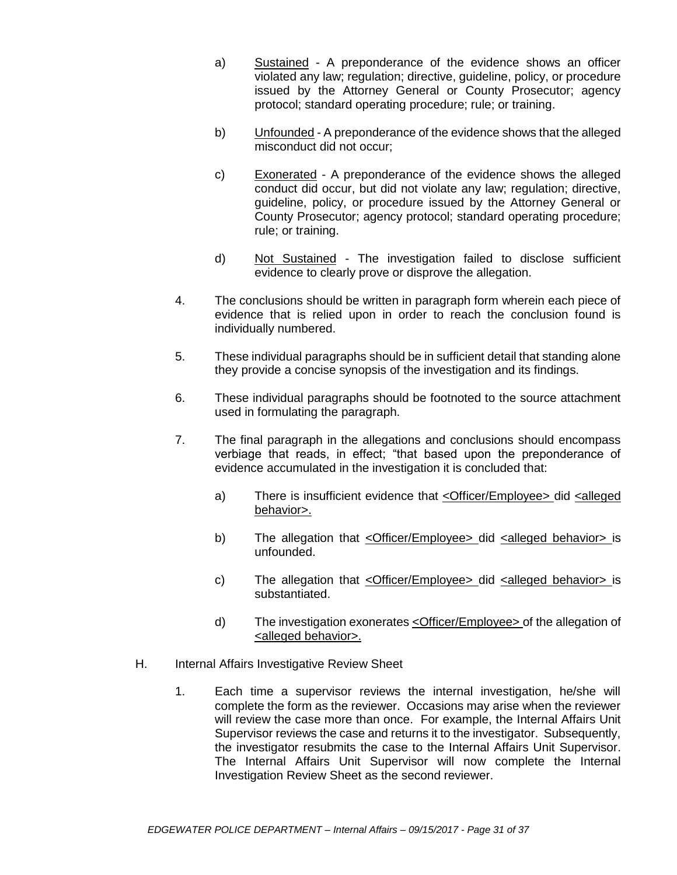- a) Sustained A preponderance of the evidence shows an officer violated any law; regulation; directive, guideline, policy, or procedure issued by the Attorney General or County Prosecutor; agency protocol; standard operating procedure; rule; or training.
- b) Unfounded A preponderance of the evidence shows that the alleged misconduct did not occur;
- c) Exonerated A preponderance of the evidence shows the alleged conduct did occur, but did not violate any law; regulation; directive, guideline, policy, or procedure issued by the Attorney General or County Prosecutor; agency protocol; standard operating procedure; rule; or training.
- d) Not Sustained The investigation failed to disclose sufficient evidence to clearly prove or disprove the allegation.
- 4. The conclusions should be written in paragraph form wherein each piece of evidence that is relied upon in order to reach the conclusion found is individually numbered.
- 5. These individual paragraphs should be in sufficient detail that standing alone they provide a concise synopsis of the investigation and its findings.
- 6. These individual paragraphs should be footnoted to the source attachment used in formulating the paragraph.
- 7. The final paragraph in the allegations and conclusions should encompass verbiage that reads, in effect; "that based upon the preponderance of evidence accumulated in the investigation it is concluded that:
	- a) There is insufficient evidence that  $\leq$ Officer/Employee $\geq$  did  $\leq$ alleged behavior>.
	- b) The allegation that <Officer/Employee> did <alleged behavior> is unfounded.
	- c) The allegation that <Officer/Employee> did <alleged behavior> is substantiated.
	- d) The investigation exonerates <Officer/Employee> of the allegation of <alleged behavior>.
- H. Internal Affairs Investigative Review Sheet
	- 1. Each time a supervisor reviews the internal investigation, he/she will complete the form as the reviewer. Occasions may arise when the reviewer will review the case more than once. For example, the Internal Affairs Unit Supervisor reviews the case and returns it to the investigator. Subsequently, the investigator resubmits the case to the Internal Affairs Unit Supervisor. The Internal Affairs Unit Supervisor will now complete the Internal Investigation Review Sheet as the second reviewer.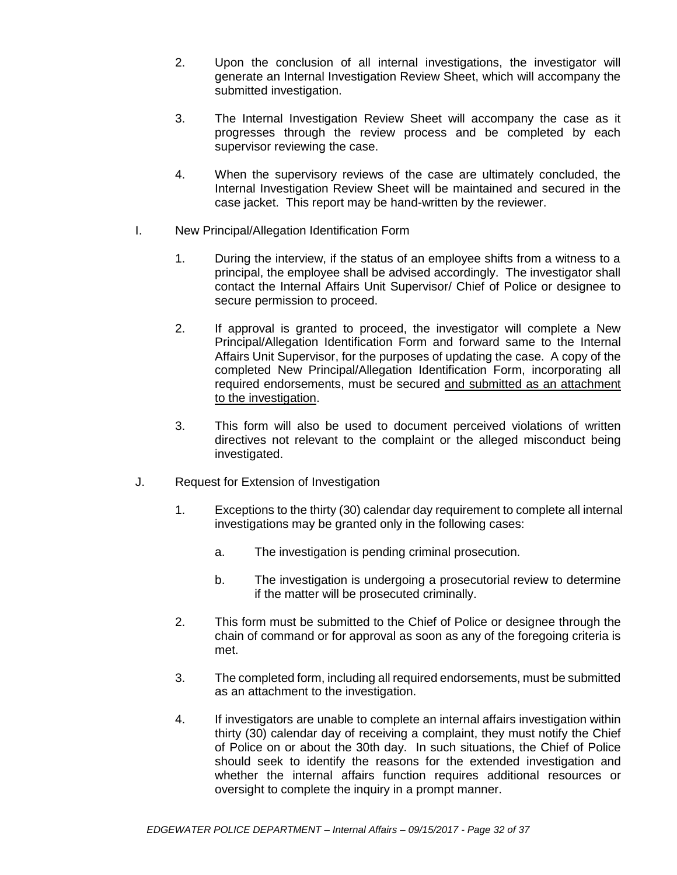- 2. Upon the conclusion of all internal investigations, the investigator will generate an Internal Investigation Review Sheet, which will accompany the submitted investigation.
- 3. The Internal Investigation Review Sheet will accompany the case as it progresses through the review process and be completed by each supervisor reviewing the case.
- 4. When the supervisory reviews of the case are ultimately concluded, the Internal Investigation Review Sheet will be maintained and secured in the case jacket. This report may be hand-written by the reviewer.
- I. New Principal/Allegation Identification Form
	- 1. During the interview, if the status of an employee shifts from a witness to a principal, the employee shall be advised accordingly. The investigator shall contact the Internal Affairs Unit Supervisor/ Chief of Police or designee to secure permission to proceed.
	- 2. If approval is granted to proceed, the investigator will complete a New Principal/Allegation Identification Form and forward same to the Internal Affairs Unit Supervisor, for the purposes of updating the case. A copy of the completed New Principal/Allegation Identification Form, incorporating all required endorsements, must be secured and submitted as an attachment to the investigation.
	- 3. This form will also be used to document perceived violations of written directives not relevant to the complaint or the alleged misconduct being investigated.
- J. Request for Extension of Investigation
	- 1. Exceptions to the thirty (30) calendar day requirement to complete all internal investigations may be granted only in the following cases:
		- a. The investigation is pending criminal prosecution.
		- b. The investigation is undergoing a prosecutorial review to determine if the matter will be prosecuted criminally.
	- 2. This form must be submitted to the Chief of Police or designee through the chain of command or for approval as soon as any of the foregoing criteria is met.
	- 3. The completed form, including all required endorsements, must be submitted as an attachment to the investigation.
	- 4. If investigators are unable to complete an internal affairs investigation within thirty (30) calendar day of receiving a complaint, they must notify the Chief of Police on or about the 30th day. In such situations, the Chief of Police should seek to identify the reasons for the extended investigation and whether the internal affairs function requires additional resources or oversight to complete the inquiry in a prompt manner.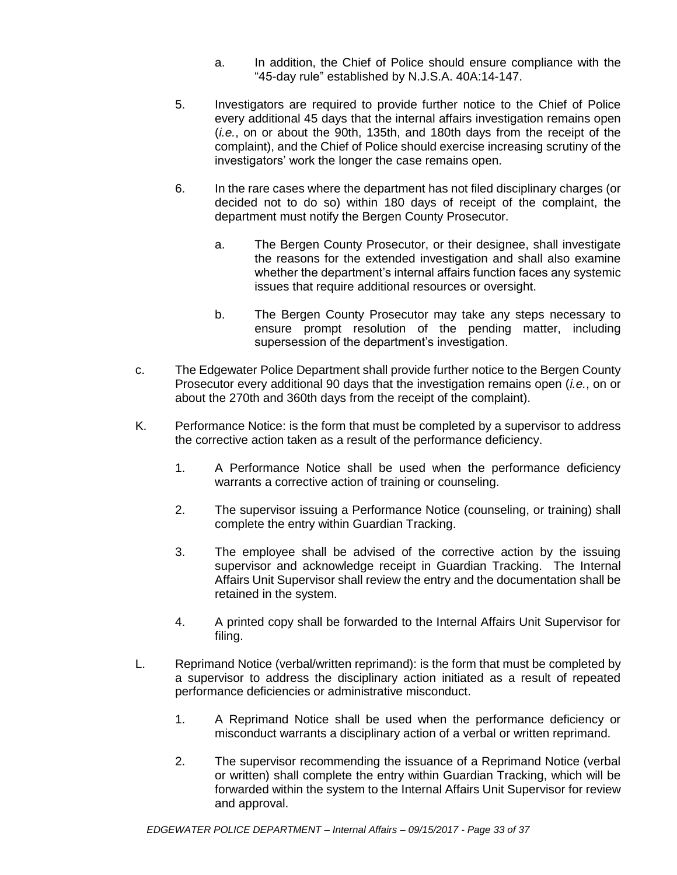- a. In addition, the Chief of Police should ensure compliance with the "45-day rule" established by N.J.S.A. 40A:14-147.
- 5. Investigators are required to provide further notice to the Chief of Police every additional 45 days that the internal affairs investigation remains open (*i.e.*, on or about the 90th, 135th, and 180th days from the receipt of the complaint), and the Chief of Police should exercise increasing scrutiny of the investigators' work the longer the case remains open.
- 6. In the rare cases where the department has not filed disciplinary charges (or decided not to do so) within 180 days of receipt of the complaint, the department must notify the Bergen County Prosecutor.
	- a. The Bergen County Prosecutor, or their designee, shall investigate the reasons for the extended investigation and shall also examine whether the department's internal affairs function faces any systemic issues that require additional resources or oversight.
	- b. The Bergen County Prosecutor may take any steps necessary to ensure prompt resolution of the pending matter, including supersession of the department's investigation.
- c. The Edgewater Police Department shall provide further notice to the Bergen County Prosecutor every additional 90 days that the investigation remains open (*i.e.*, on or about the 270th and 360th days from the receipt of the complaint).
- K. Performance Notice: is the form that must be completed by a supervisor to address the corrective action taken as a result of the performance deficiency.
	- 1. A Performance Notice shall be used when the performance deficiency warrants a corrective action of training or counseling.
	- 2. The supervisor issuing a Performance Notice (counseling, or training) shall complete the entry within Guardian Tracking.
	- 3. The employee shall be advised of the corrective action by the issuing supervisor and acknowledge receipt in Guardian Tracking. The Internal Affairs Unit Supervisor shall review the entry and the documentation shall be retained in the system.
	- 4. A printed copy shall be forwarded to the Internal Affairs Unit Supervisor for filing.
- L. Reprimand Notice (verbal/written reprimand): is the form that must be completed by a supervisor to address the disciplinary action initiated as a result of repeated performance deficiencies or administrative misconduct.
	- 1. A Reprimand Notice shall be used when the performance deficiency or misconduct warrants a disciplinary action of a verbal or written reprimand.
	- 2. The supervisor recommending the issuance of a Reprimand Notice (verbal or written) shall complete the entry within Guardian Tracking, which will be forwarded within the system to the Internal Affairs Unit Supervisor for review and approval.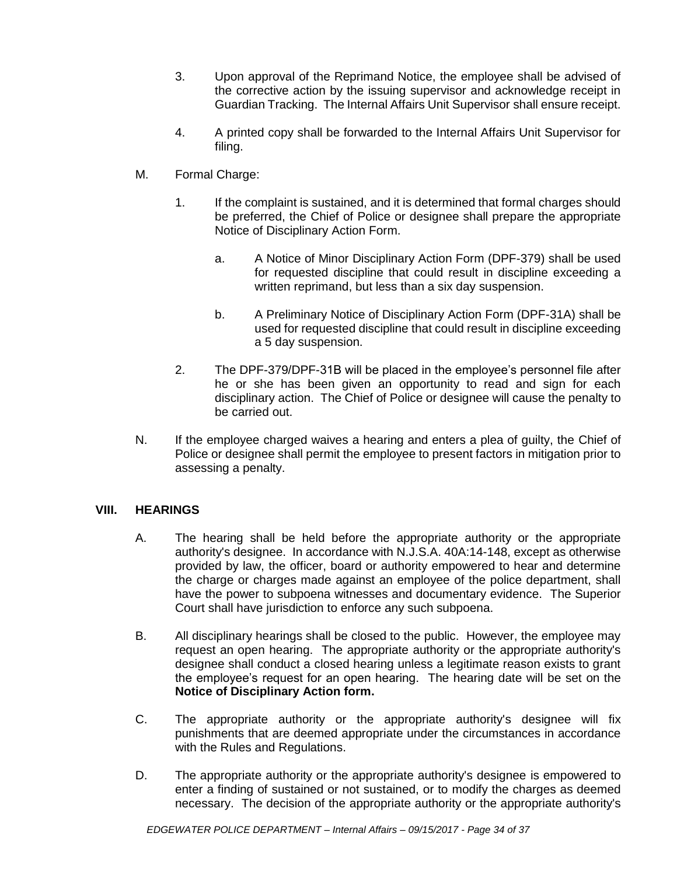- 3. Upon approval of the Reprimand Notice, the employee shall be advised of the corrective action by the issuing supervisor and acknowledge receipt in Guardian Tracking. The Internal Affairs Unit Supervisor shall ensure receipt.
- 4. A printed copy shall be forwarded to the Internal Affairs Unit Supervisor for filing.
- M. Formal Charge:
	- 1. If the complaint is sustained, and it is determined that formal charges should be preferred, the Chief of Police or designee shall prepare the appropriate Notice of Disciplinary Action Form.
		- a. A Notice of Minor Disciplinary Action Form (DPF-379) shall be used for requested discipline that could result in discipline exceeding a written reprimand, but less than a six day suspension.
		- b. A Preliminary Notice of Disciplinary Action Form (DPF-31A) shall be used for requested discipline that could result in discipline exceeding a 5 day suspension.
	- 2. The DPF-379/DPF-31B will be placed in the employee's personnel file after he or she has been given an opportunity to read and sign for each disciplinary action. The Chief of Police or designee will cause the penalty to be carried out.
- N. If the employee charged waives a hearing and enters a plea of guilty, the Chief of Police or designee shall permit the employee to present factors in mitigation prior to assessing a penalty.

## **VIII. HEARINGS**

- A. The hearing shall be held before the appropriate authority or the appropriate authority's designee. In accordance with N.J.S.A. 40A:14-148, except as otherwise provided by law, the officer, board or authority empowered to hear and determine the charge or charges made against an employee of the police department, shall have the power to subpoena witnesses and documentary evidence. The Superior Court shall have jurisdiction to enforce any such subpoena.
- B. All disciplinary hearings shall be closed to the public. However, the employee may request an open hearing. The appropriate authority or the appropriate authority's designee shall conduct a closed hearing unless a legitimate reason exists to grant the employee's request for an open hearing. The hearing date will be set on the **Notice of Disciplinary Action form.**
- C. The appropriate authority or the appropriate authority's designee will fix punishments that are deemed appropriate under the circumstances in accordance with the Rules and Regulations.
- D. The appropriate authority or the appropriate authority's designee is empowered to enter a finding of sustained or not sustained, or to modify the charges as deemed necessary. The decision of the appropriate authority or the appropriate authority's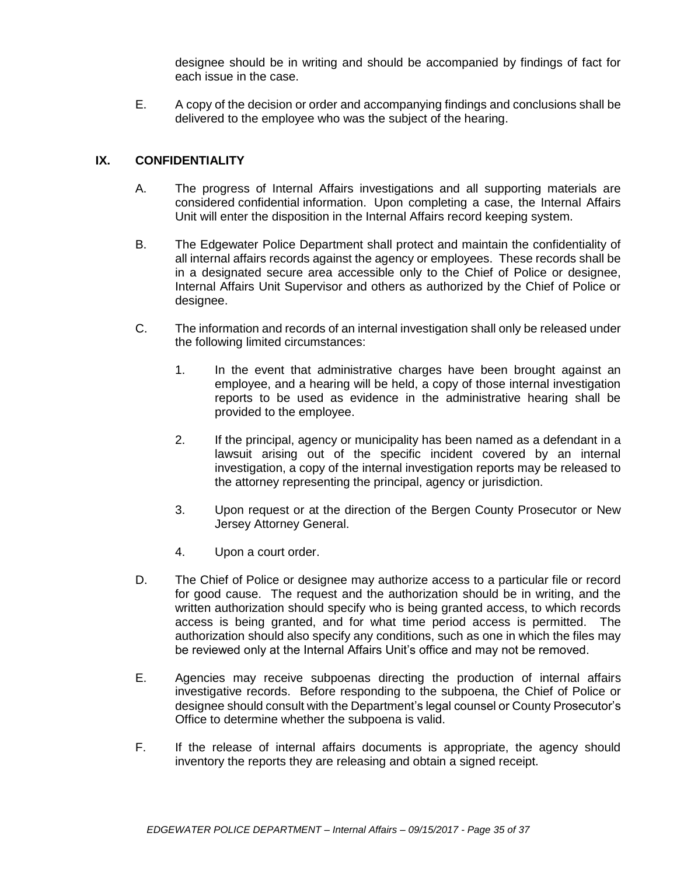designee should be in writing and should be accompanied by findings of fact for each issue in the case.

E. A copy of the decision or order and accompanying findings and conclusions shall be delivered to the employee who was the subject of the hearing.

## **IX. CONFIDENTIALITY**

- A. The progress of Internal Affairs investigations and all supporting materials are considered confidential information. Upon completing a case, the Internal Affairs Unit will enter the disposition in the Internal Affairs record keeping system.
- B. The Edgewater Police Department shall protect and maintain the confidentiality of all internal affairs records against the agency or employees. These records shall be in a designated secure area accessible only to the Chief of Police or designee, Internal Affairs Unit Supervisor and others as authorized by the Chief of Police or designee.
- C. The information and records of an internal investigation shall only be released under the following limited circumstances:
	- 1. In the event that administrative charges have been brought against an employee, and a hearing will be held, a copy of those internal investigation reports to be used as evidence in the administrative hearing shall be provided to the employee.
	- 2. If the principal, agency or municipality has been named as a defendant in a lawsuit arising out of the specific incident covered by an internal investigation, a copy of the internal investigation reports may be released to the attorney representing the principal, agency or jurisdiction.
	- 3. Upon request or at the direction of the Bergen County Prosecutor or New Jersey Attorney General.
	- 4. Upon a court order.
- D. The Chief of Police or designee may authorize access to a particular file or record for good cause. The request and the authorization should be in writing, and the written authorization should specify who is being granted access, to which records access is being granted, and for what time period access is permitted. The authorization should also specify any conditions, such as one in which the files may be reviewed only at the Internal Affairs Unit's office and may not be removed.
- E. Agencies may receive subpoenas directing the production of internal affairs investigative records. Before responding to the subpoena, the Chief of Police or designee should consult with the Department's legal counsel or County Prosecutor's Office to determine whether the subpoena is valid.
- F. If the release of internal affairs documents is appropriate, the agency should inventory the reports they are releasing and obtain a signed receipt.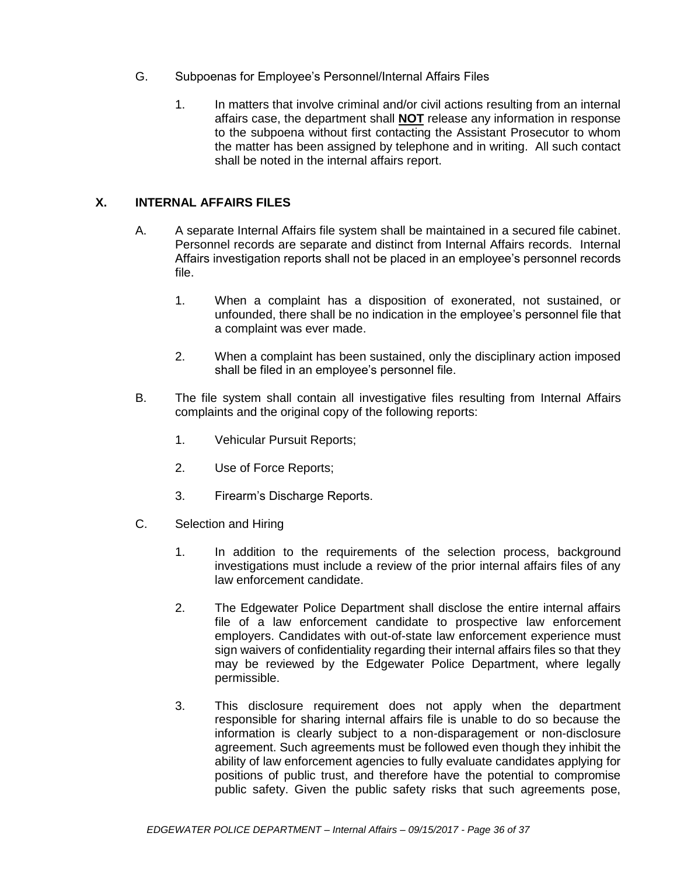- G. Subpoenas for Employee's Personnel/Internal Affairs Files
	- 1. In matters that involve criminal and/or civil actions resulting from an internal affairs case, the department shall **NOT** release any information in response to the subpoena without first contacting the Assistant Prosecutor to whom the matter has been assigned by telephone and in writing. All such contact shall be noted in the internal affairs report.

## **X. INTERNAL AFFAIRS FILES**

- A. A separate Internal Affairs file system shall be maintained in a secured file cabinet. Personnel records are separate and distinct from Internal Affairs records. Internal Affairs investigation reports shall not be placed in an employee's personnel records file.
	- 1. When a complaint has a disposition of exonerated, not sustained, or unfounded, there shall be no indication in the employee's personnel file that a complaint was ever made.
	- 2. When a complaint has been sustained, only the disciplinary action imposed shall be filed in an employee's personnel file.
- B. The file system shall contain all investigative files resulting from Internal Affairs complaints and the original copy of the following reports:
	- 1. Vehicular Pursuit Reports;
	- 2. Use of Force Reports;
	- 3. Firearm's Discharge Reports.
- C. Selection and Hiring
	- 1. In addition to the requirements of the selection process, background investigations must include a review of the prior internal affairs files of any law enforcement candidate.
	- 2. The Edgewater Police Department shall disclose the entire internal affairs file of a law enforcement candidate to prospective law enforcement employers. Candidates with out-of-state law enforcement experience must sign waivers of confidentiality regarding their internal affairs files so that they may be reviewed by the Edgewater Police Department, where legally permissible.
	- 3. This disclosure requirement does not apply when the department responsible for sharing internal affairs file is unable to do so because the information is clearly subject to a non-disparagement or non-disclosure agreement. Such agreements must be followed even though they inhibit the ability of law enforcement agencies to fully evaluate candidates applying for positions of public trust, and therefore have the potential to compromise public safety. Given the public safety risks that such agreements pose,